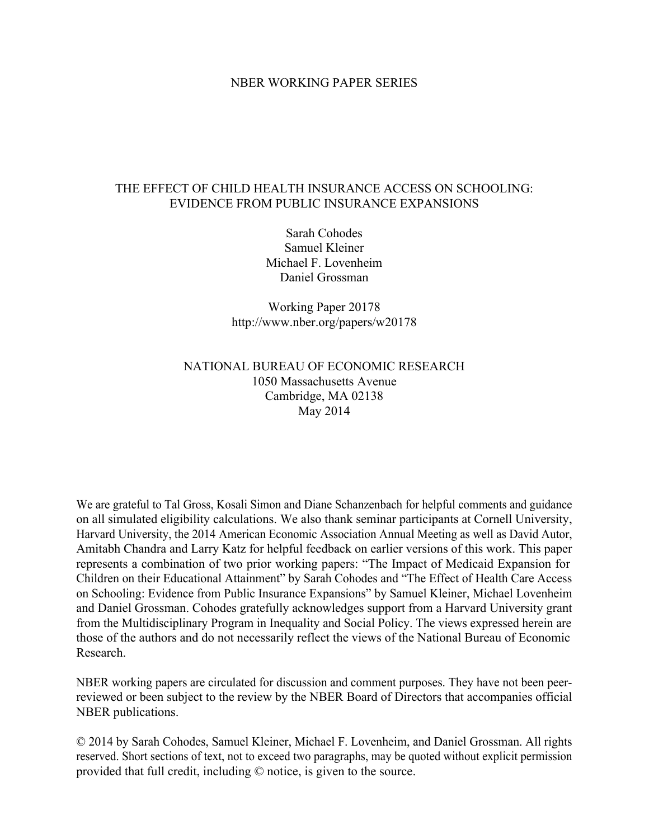#### NBER WORKING PAPER SERIES

### THE EFFECT OF CHILD HEALTH INSURANCE ACCESS ON SCHOOLING: EVIDENCE FROM PUBLIC INSURANCE EXPANSIONS

Sarah Cohodes Samuel Kleiner Michael F. Lovenheim Daniel Grossman

Working Paper 20178 http://www.nber.org/papers/w20178

## NATIONAL BUREAU OF ECONOMIC RESEARCH 1050 Massachusetts Avenue Cambridge, MA 02138 May 2014

We are grateful to Tal Gross, Kosali Simon and Diane Schanzenbach for helpful comments and guidance on all simulated eligibility calculations. We also thank seminar participants at Cornell University, Harvard University, the 2014 American Economic Association Annual Meeting as well as David Autor, Amitabh Chandra and Larry Katz for helpful feedback on earlier versions of this work. This paper represents a combination of two prior working papers: "The Impact of Medicaid Expansion for Children on their Educational Attainment" by Sarah Cohodes and "The Effect of Health Care Access on Schooling: Evidence from Public Insurance Expansions" by Samuel Kleiner, Michael Lovenheim and Daniel Grossman. Cohodes gratefully acknowledges support from a Harvard University grant from the Multidisciplinary Program in Inequality and Social Policy. The views expressed herein are those of the authors and do not necessarily reflect the views of the National Bureau of Economic Research.

NBER working papers are circulated for discussion and comment purposes. They have not been peerreviewed or been subject to the review by the NBER Board of Directors that accompanies official NBER publications.

© 2014 by Sarah Cohodes, Samuel Kleiner, Michael F. Lovenheim, and Daniel Grossman. All rights reserved. Short sections of text, not to exceed two paragraphs, may be quoted without explicit permission provided that full credit, including © notice, is given to the source.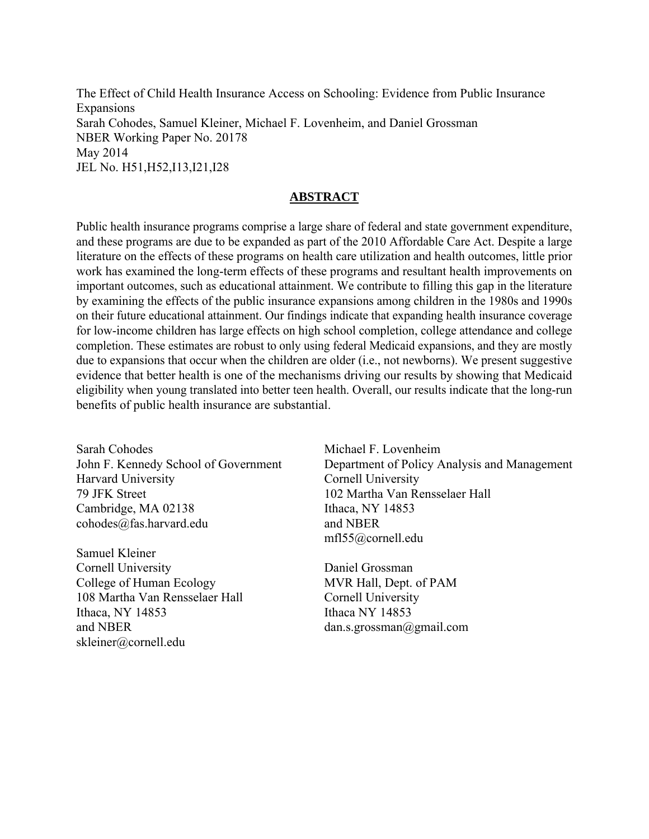The Effect of Child Health Insurance Access on Schooling: Evidence from Public Insurance **Expansions** Sarah Cohodes, Samuel Kleiner, Michael F. Lovenheim, and Daniel Grossman NBER Working Paper No. 20178 May 2014 JEL No. H51,H52,I13,I21,I28

## **ABSTRACT**

Public health insurance programs comprise a large share of federal and state government expenditure, and these programs are due to be expanded as part of the 2010 Affordable Care Act. Despite a large literature on the effects of these programs on health care utilization and health outcomes, little prior work has examined the long-term effects of these programs and resultant health improvements on important outcomes, such as educational attainment. We contribute to filling this gap in the literature by examining the effects of the public insurance expansions among children in the 1980s and 1990s on their future educational attainment. Our findings indicate that expanding health insurance coverage for low-income children has large effects on high school completion, college attendance and college completion. These estimates are robust to only using federal Medicaid expansions, and they are mostly due to expansions that occur when the children are older (i.e., not newborns). We present suggestive evidence that better health is one of the mechanisms driving our results by showing that Medicaid eligibility when young translated into better teen health. Overall, our results indicate that the long-run benefits of public health insurance are substantial.

Sarah Cohodes John F. Kennedy School of Government Harvard University 79 JFK Street Cambridge, MA 02138 cohodes@fas.harvard.edu

Samuel Kleiner Cornell University College of Human Ecology 108 Martha Van Rensselaer Hall Ithaca, NY 14853 and NBER skleiner@cornell.edu

Michael F. Lovenheim Department of Policy Analysis and Management Cornell University 102 Martha Van Rensselaer Hall Ithaca, NY 14853 and NBER mfl55@cornell.edu

Daniel Grossman MVR Hall, Dept. of PAM Cornell University Ithaca NY 14853 dan.s.grossman@gmail.com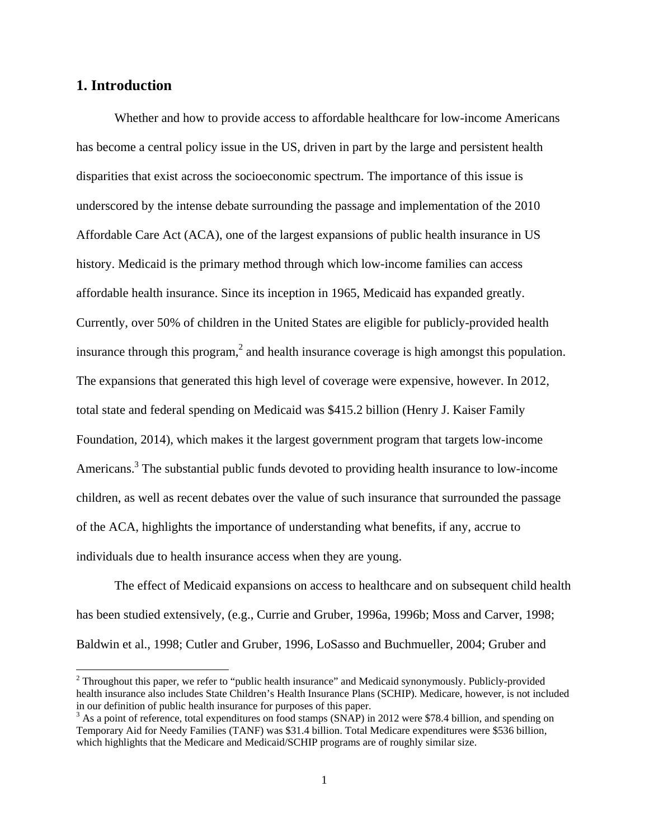## **1. Introduction**

 $\overline{\phantom{a}}$ 

Whether and how to provide access to affordable healthcare for low-income Americans has become a central policy issue in the US, driven in part by the large and persistent health disparities that exist across the socioeconomic spectrum. The importance of this issue is underscored by the intense debate surrounding the passage and implementation of the 2010 Affordable Care Act (ACA), one of the largest expansions of public health insurance in US history. Medicaid is the primary method through which low-income families can access affordable health insurance. Since its inception in 1965, Medicaid has expanded greatly. Currently, over 50% of children in the United States are eligible for publicly-provided health insurance through this program,<sup>2</sup> and health insurance coverage is high amongst this population. The expansions that generated this high level of coverage were expensive, however. In 2012, total state and federal spending on Medicaid was \$415.2 billion (Henry J. Kaiser Family Foundation, 2014), which makes it the largest government program that targets low-income Americans.<sup>3</sup> The substantial public funds devoted to providing health insurance to low-income children, as well as recent debates over the value of such insurance that surrounded the passage of the ACA, highlights the importance of understanding what benefits, if any, accrue to individuals due to health insurance access when they are young.

The effect of Medicaid expansions on access to healthcare and on subsequent child health has been studied extensively, (e.g., Currie and Gruber, 1996a, 1996b; Moss and Carver, 1998; Baldwin et al., 1998; Cutler and Gruber, 1996, LoSasso and Buchmueller, 2004; Gruber and

 $2$  Throughout this paper, we refer to "public health insurance" and Medicaid synonymously. Publicly-provided health insurance also includes State Children's Health Insurance Plans (SCHIP). Medicare, however, is not included in our definition of public health insurance for purposes of this paper.

<sup>&</sup>lt;sup>3</sup> As a point of reference, total expenditures on food stamps (SNAP) in 2012 were \$78.4 billion, and spending on Temporary Aid for Needy Families (TANF) was \$31.4 billion. Total Medicare expenditures were \$536 billion, which highlights that the Medicare and Medicaid/SCHIP programs are of roughly similar size.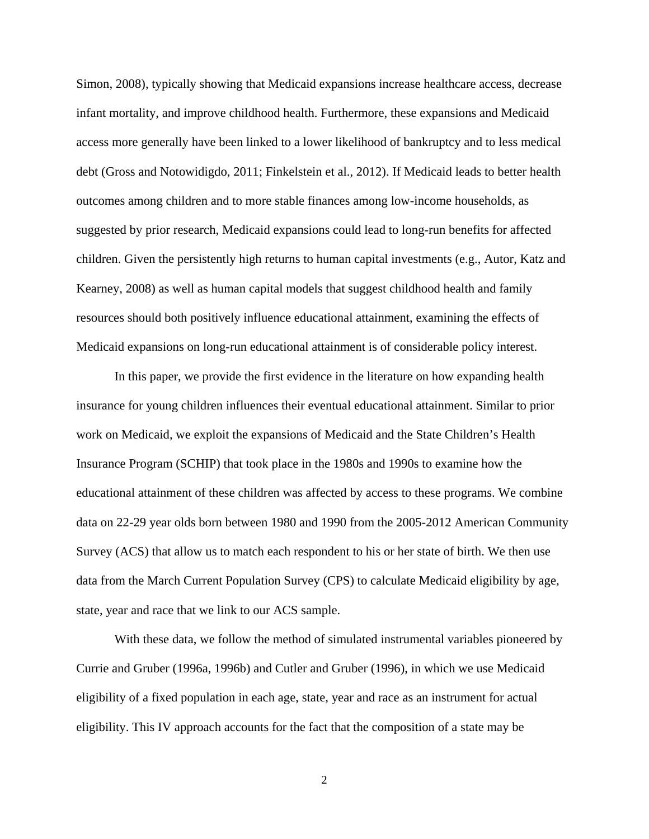Simon, 2008), typically showing that Medicaid expansions increase healthcare access, decrease infant mortality, and improve childhood health. Furthermore, these expansions and Medicaid access more generally have been linked to a lower likelihood of bankruptcy and to less medical debt (Gross and Notowidigdo, 2011; Finkelstein et al., 2012). If Medicaid leads to better health outcomes among children and to more stable finances among low-income households, as suggested by prior research, Medicaid expansions could lead to long-run benefits for affected children. Given the persistently high returns to human capital investments (e.g., Autor, Katz and Kearney, 2008) as well as human capital models that suggest childhood health and family resources should both positively influence educational attainment, examining the effects of Medicaid expansions on long-run educational attainment is of considerable policy interest.

In this paper, we provide the first evidence in the literature on how expanding health insurance for young children influences their eventual educational attainment. Similar to prior work on Medicaid, we exploit the expansions of Medicaid and the State Children's Health Insurance Program (SCHIP) that took place in the 1980s and 1990s to examine how the educational attainment of these children was affected by access to these programs. We combine data on 22-29 year olds born between 1980 and 1990 from the 2005-2012 American Community Survey (ACS) that allow us to match each respondent to his or her state of birth. We then use data from the March Current Population Survey (CPS) to calculate Medicaid eligibility by age, state, year and race that we link to our ACS sample.

With these data, we follow the method of simulated instrumental variables pioneered by Currie and Gruber (1996a, 1996b) and Cutler and Gruber (1996), in which we use Medicaid eligibility of a fixed population in each age, state, year and race as an instrument for actual eligibility. This IV approach accounts for the fact that the composition of a state may be

2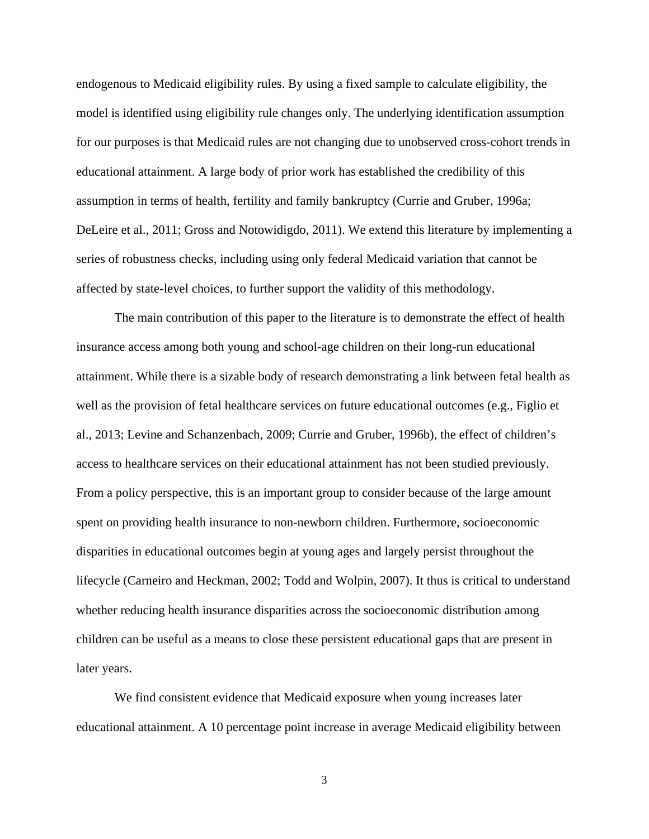endogenous to Medicaid eligibility rules. By using a fixed sample to calculate eligibility, the model is identified using eligibility rule changes only. The underlying identification assumption for our purposes is that Medicaid rules are not changing due to unobserved cross-cohort trends in educational attainment. A large body of prior work has established the credibility of this assumption in terms of health, fertility and family bankruptcy (Currie and Gruber, 1996a; DeLeire et al., 2011; Gross and Notowidigdo, 2011). We extend this literature by implementing a series of robustness checks, including using only federal Medicaid variation that cannot be affected by state-level choices, to further support the validity of this methodology.

 The main contribution of this paper to the literature is to demonstrate the effect of health insurance access among both young and school-age children on their long-run educational attainment. While there is a sizable body of research demonstrating a link between fetal health as well as the provision of fetal healthcare services on future educational outcomes (e.g., Figlio et al., 2013; Levine and Schanzenbach, 2009; Currie and Gruber, 1996b), the effect of children's access to healthcare services on their educational attainment has not been studied previously. From a policy perspective, this is an important group to consider because of the large amount spent on providing health insurance to non-newborn children. Furthermore, socioeconomic disparities in educational outcomes begin at young ages and largely persist throughout the lifecycle (Carneiro and Heckman, 2002; Todd and Wolpin, 2007). It thus is critical to understand whether reducing health insurance disparities across the socioeconomic distribution among children can be useful as a means to close these persistent educational gaps that are present in later years.

We find consistent evidence that Medicaid exposure when young increases later educational attainment. A 10 percentage point increase in average Medicaid eligibility between

3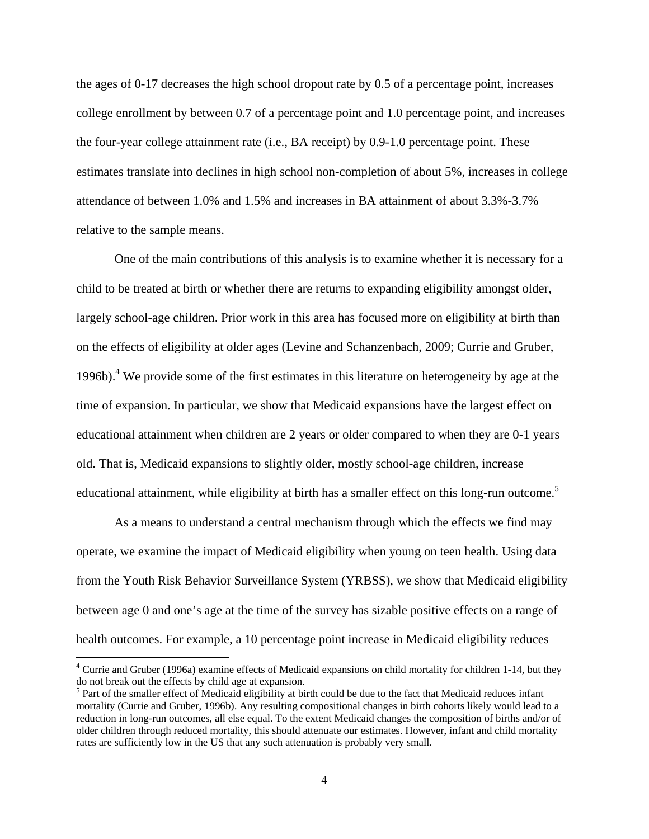the ages of 0-17 decreases the high school dropout rate by 0.5 of a percentage point, increases college enrollment by between 0.7 of a percentage point and 1.0 percentage point, and increases the four-year college attainment rate (i.e., BA receipt) by 0.9-1.0 percentage point. These estimates translate into declines in high school non-completion of about 5%, increases in college attendance of between 1.0% and 1.5% and increases in BA attainment of about 3.3%-3.7% relative to the sample means.

One of the main contributions of this analysis is to examine whether it is necessary for a child to be treated at birth or whether there are returns to expanding eligibility amongst older, largely school-age children. Prior work in this area has focused more on eligibility at birth than on the effects of eligibility at older ages (Levine and Schanzenbach, 2009; Currie and Gruber, 1996b).<sup>4</sup> We provide some of the first estimates in this literature on heterogeneity by age at the time of expansion. In particular, we show that Medicaid expansions have the largest effect on educational attainment when children are 2 years or older compared to when they are 0-1 years old. That is, Medicaid expansions to slightly older, mostly school-age children, increase educational attainment, while eligibility at birth has a smaller effect on this long-run outcome.<sup>5</sup>

As a means to understand a central mechanism through which the effects we find may operate, we examine the impact of Medicaid eligibility when young on teen health. Using data from the Youth Risk Behavior Surveillance System (YRBSS), we show that Medicaid eligibility between age 0 and one's age at the time of the survey has sizable positive effects on a range of health outcomes. For example, a 10 percentage point increase in Medicaid eligibility reduces

 $\overline{\phantom{a}}$ 

<sup>&</sup>lt;sup>4</sup> Currie and Gruber (1996a) examine effects of Medicaid expansions on child mortality for children 1-14, but they do not break out the effects by child age at expansion.

<sup>&</sup>lt;sup>5</sup> Part of the smaller effect of Medicaid eligibility at birth could be due to the fact that Medicaid reduces infant mortality (Currie and Gruber, 1996b). Any resulting compositional changes in birth cohorts likely would lead to a reduction in long-run outcomes, all else equal. To the extent Medicaid changes the composition of births and/or of older children through reduced mortality, this should attenuate our estimates. However, infant and child mortality rates are sufficiently low in the US that any such attenuation is probably very small.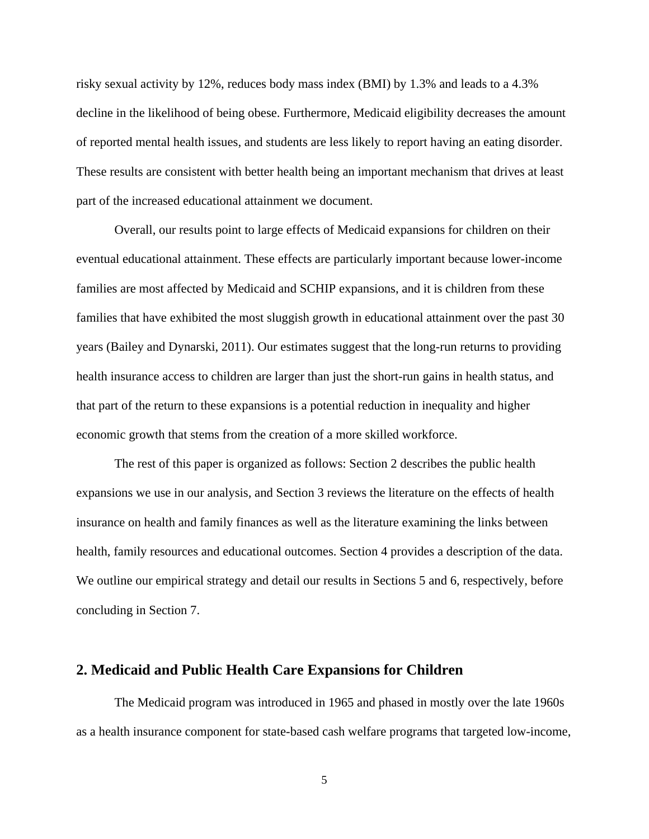risky sexual activity by 12%, reduces body mass index (BMI) by 1.3% and leads to a 4.3% decline in the likelihood of being obese. Furthermore, Medicaid eligibility decreases the amount of reported mental health issues, and students are less likely to report having an eating disorder. These results are consistent with better health being an important mechanism that drives at least part of the increased educational attainment we document.

Overall, our results point to large effects of Medicaid expansions for children on their eventual educational attainment. These effects are particularly important because lower-income families are most affected by Medicaid and SCHIP expansions, and it is children from these families that have exhibited the most sluggish growth in educational attainment over the past 30 years (Bailey and Dynarski, 2011). Our estimates suggest that the long-run returns to providing health insurance access to children are larger than just the short-run gains in health status, and that part of the return to these expansions is a potential reduction in inequality and higher economic growth that stems from the creation of a more skilled workforce.

The rest of this paper is organized as follows: Section 2 describes the public health expansions we use in our analysis, and Section 3 reviews the literature on the effects of health insurance on health and family finances as well as the literature examining the links between health, family resources and educational outcomes. Section 4 provides a description of the data. We outline our empirical strategy and detail our results in Sections 5 and 6, respectively, before concluding in Section 7.

## **2. Medicaid and Public Health Care Expansions for Children**

 The Medicaid program was introduced in 1965 and phased in mostly over the late 1960s as a health insurance component for state-based cash welfare programs that targeted low-income,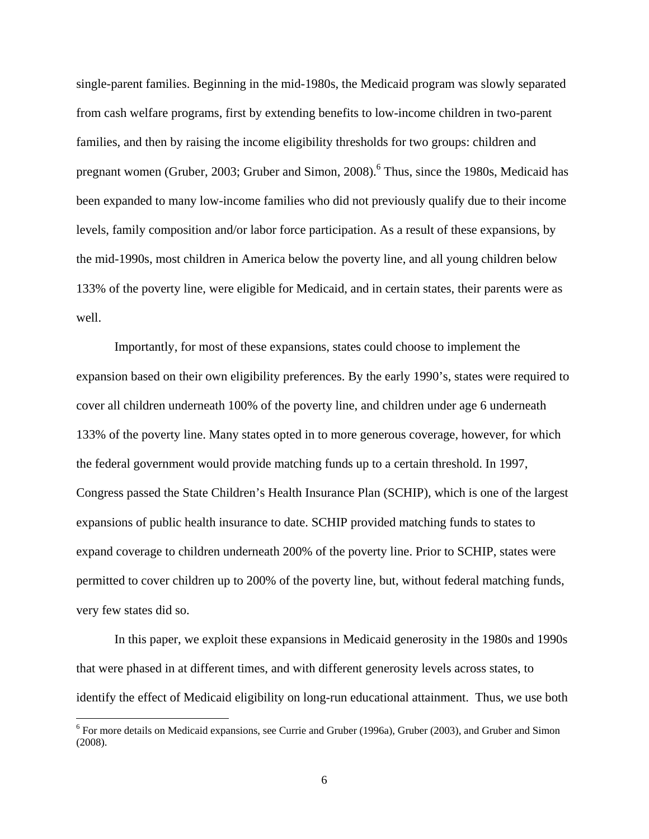single-parent families. Beginning in the mid-1980s, the Medicaid program was slowly separated from cash welfare programs, first by extending benefits to low-income children in two-parent families, and then by raising the income eligibility thresholds for two groups: children and pregnant women (Gruber, 2003; Gruber and Simon, 2008).<sup>6</sup> Thus, since the 1980s, Medicaid has been expanded to many low-income families who did not previously qualify due to their income levels, family composition and/or labor force participation. As a result of these expansions, by the mid-1990s, most children in America below the poverty line, and all young children below 133% of the poverty line, were eligible for Medicaid, and in certain states, their parents were as well.

 Importantly, for most of these expansions, states could choose to implement the expansion based on their own eligibility preferences. By the early 1990's, states were required to cover all children underneath 100% of the poverty line, and children under age 6 underneath 133% of the poverty line. Many states opted in to more generous coverage, however, for which the federal government would provide matching funds up to a certain threshold. In 1997, Congress passed the State Children's Health Insurance Plan (SCHIP), which is one of the largest expansions of public health insurance to date. SCHIP provided matching funds to states to expand coverage to children underneath 200% of the poverty line. Prior to SCHIP, states were permitted to cover children up to 200% of the poverty line, but, without federal matching funds, very few states did so.

 In this paper, we exploit these expansions in Medicaid generosity in the 1980s and 1990s that were phased in at different times, and with different generosity levels across states, to identify the effect of Medicaid eligibility on long-run educational attainment. Thus, we use both

 $\overline{a}$ 

<sup>&</sup>lt;sup>6</sup> For more details on Medicaid expansions, see Currie and Gruber (1996a), Gruber (2003), and Gruber and Simon (2008).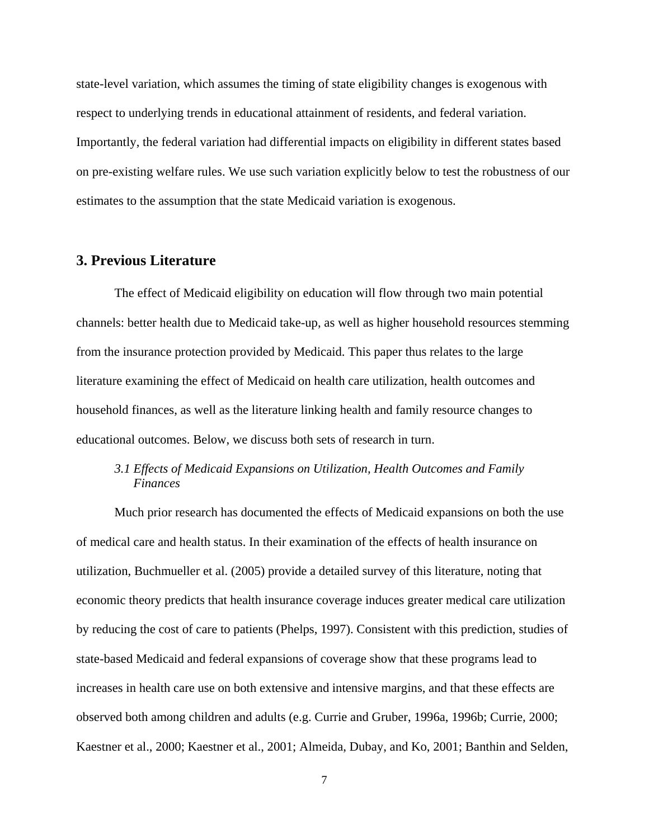state-level variation, which assumes the timing of state eligibility changes is exogenous with respect to underlying trends in educational attainment of residents, and federal variation. Importantly, the federal variation had differential impacts on eligibility in different states based on pre-existing welfare rules. We use such variation explicitly below to test the robustness of our estimates to the assumption that the state Medicaid variation is exogenous.

# **3. Previous Literature**

 The effect of Medicaid eligibility on education will flow through two main potential channels: better health due to Medicaid take-up, as well as higher household resources stemming from the insurance protection provided by Medicaid. This paper thus relates to the large literature examining the effect of Medicaid on health care utilization, health outcomes and household finances, as well as the literature linking health and family resource changes to educational outcomes. Below, we discuss both sets of research in turn.

# *3.1 Effects of Medicaid Expansions on Utilization, Health Outcomes and Family Finances*

Much prior research has documented the effects of Medicaid expansions on both the use of medical care and health status. In their examination of the effects of health insurance on utilization, Buchmueller et al. (2005) provide a detailed survey of this literature, noting that economic theory predicts that health insurance coverage induces greater medical care utilization by reducing the cost of care to patients (Phelps, 1997). Consistent with this prediction, studies of state-based Medicaid and federal expansions of coverage show that these programs lead to increases in health care use on both extensive and intensive margins, and that these effects are observed both among children and adults (e.g. Currie and Gruber, 1996a, 1996b; Currie, 2000; Kaestner et al., 2000; Kaestner et al., 2001; Almeida, Dubay, and Ko, 2001; Banthin and Selden,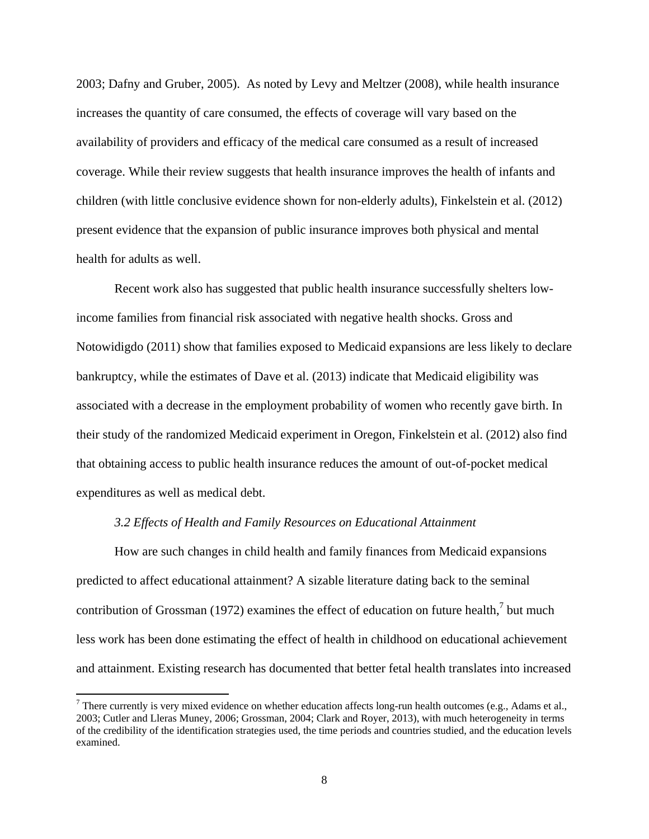2003; Dafny and Gruber, 2005). As noted by Levy and Meltzer (2008), while health insurance increases the quantity of care consumed, the effects of coverage will vary based on the availability of providers and efficacy of the medical care consumed as a result of increased coverage. While their review suggests that health insurance improves the health of infants and children (with little conclusive evidence shown for non-elderly adults), Finkelstein et al. (2012) present evidence that the expansion of public insurance improves both physical and mental health for adults as well.

 Recent work also has suggested that public health insurance successfully shelters lowincome families from financial risk associated with negative health shocks. Gross and Notowidigdo (2011) show that families exposed to Medicaid expansions are less likely to declare bankruptcy, while the estimates of Dave et al. (2013) indicate that Medicaid eligibility was associated with a decrease in the employment probability of women who recently gave birth. In their study of the randomized Medicaid experiment in Oregon, Finkelstein et al. (2012) also find that obtaining access to public health insurance reduces the amount of out-of-pocket medical expenditures as well as medical debt.

#### *3.2 Effects of Health and Family Resources on Educational Attainment*

 $\overline{\phantom{a}}$ 

How are such changes in child health and family finances from Medicaid expansions predicted to affect educational attainment? A sizable literature dating back to the seminal contribution of Grossman (1972) examines the effect of education on future health, $\frac{7}{1}$  but much less work has been done estimating the effect of health in childhood on educational achievement and attainment. Existing research has documented that better fetal health translates into increased

There currently is very mixed evidence on whether education affects long-run health outcomes (e.g., Adams et al., 2003; Cutler and Lleras Muney, 2006; Grossman, 2004; Clark and Royer, 2013), with much heterogeneity in terms of the credibility of the identification strategies used, the time periods and countries studied, and the education levels examined.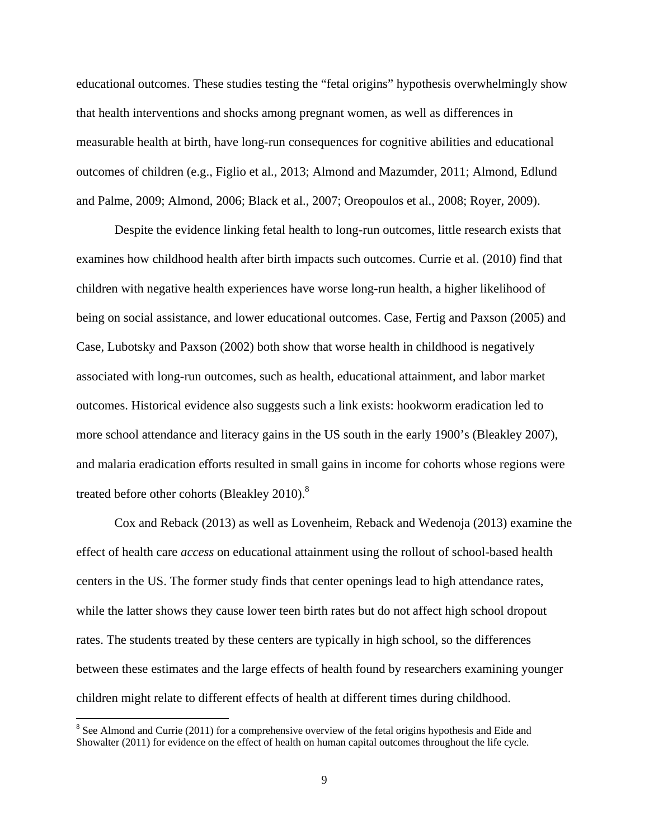educational outcomes. These studies testing the "fetal origins" hypothesis overwhelmingly show that health interventions and shocks among pregnant women, as well as differences in measurable health at birth, have long-run consequences for cognitive abilities and educational outcomes of children (e.g., Figlio et al., 2013; Almond and Mazumder, 2011; Almond, Edlund and Palme, 2009; Almond, 2006; Black et al., 2007; Oreopoulos et al., 2008; Royer, 2009).

Despite the evidence linking fetal health to long-run outcomes, little research exists that examines how childhood health after birth impacts such outcomes. Currie et al. (2010) find that children with negative health experiences have worse long-run health, a higher likelihood of being on social assistance, and lower educational outcomes. Case, Fertig and Paxson (2005) and Case, Lubotsky and Paxson (2002) both show that worse health in childhood is negatively associated with long-run outcomes, such as health, educational attainment, and labor market outcomes. Historical evidence also suggests such a link exists: hookworm eradication led to more school attendance and literacy gains in the US south in the early 1900's (Bleakley 2007), and malaria eradication efforts resulted in small gains in income for cohorts whose regions were treated before other cohorts (Bleakley 2010).<sup>8</sup>

Cox and Reback (2013) as well as Lovenheim, Reback and Wedenoja (2013) examine the effect of health care *access* on educational attainment using the rollout of school-based health centers in the US. The former study finds that center openings lead to high attendance rates, while the latter shows they cause lower teen birth rates but do not affect high school dropout rates. The students treated by these centers are typically in high school, so the differences between these estimates and the large effects of health found by researchers examining younger children might relate to different effects of health at different times during childhood.

 $\overline{a}$ 

 $8$  See Almond and Currie (2011) for a comprehensive overview of the fetal origins hypothesis and Eide and Showalter (2011) for evidence on the effect of health on human capital outcomes throughout the life cycle.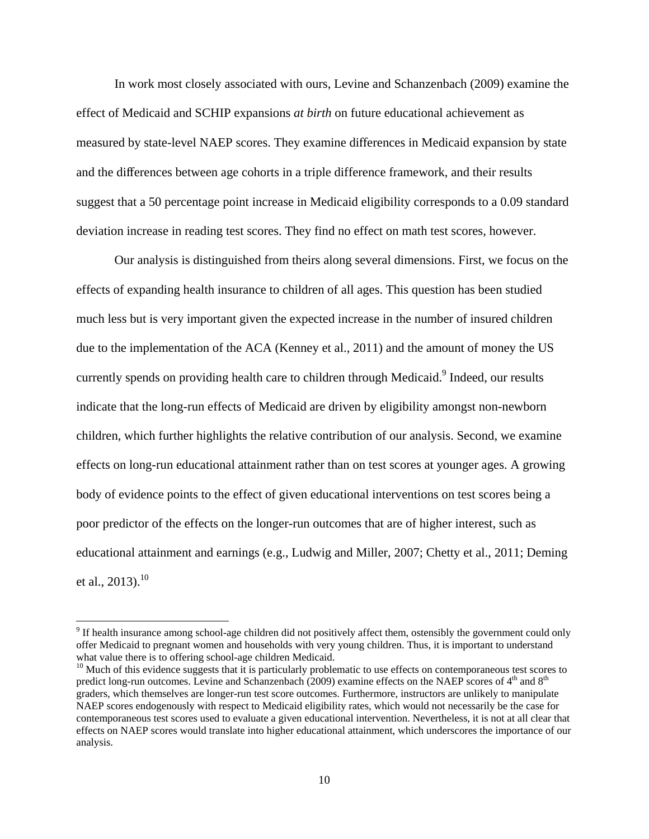In work most closely associated with ours, Levine and Schanzenbach (2009) examine the effect of Medicaid and SCHIP expansions *at birth* on future educational achievement as measured by state-level NAEP scores. They examine differences in Medicaid expansion by state and the differences between age cohorts in a triple difference framework, and their results suggest that a 50 percentage point increase in Medicaid eligibility corresponds to a 0.09 standard deviation increase in reading test scores. They find no effect on math test scores, however.

Our analysis is distinguished from theirs along several dimensions. First, we focus on the effects of expanding health insurance to children of all ages. This question has been studied much less but is very important given the expected increase in the number of insured children due to the implementation of the ACA (Kenney et al., 2011) and the amount of money the US currently spends on providing health care to children through Medicaid.<sup>9</sup> Indeed, our results indicate that the long-run effects of Medicaid are driven by eligibility amongst non-newborn children, which further highlights the relative contribution of our analysis. Second, we examine effects on long-run educational attainment rather than on test scores at younger ages. A growing body of evidence points to the effect of given educational interventions on test scores being a poor predictor of the effects on the longer-run outcomes that are of higher interest, such as educational attainment and earnings (e.g., Ludwig and Miller, 2007; Chetty et al., 2011; Deming et al.,  $2013$ .<sup>10</sup>

 $\overline{\phantom{a}}$ 

 $9$  If health insurance among school-age children did not positively affect them, ostensibly the government could only offer Medicaid to pregnant women and households with very young children. Thus, it is important to understand what value there is to offering school-age children Medicaid.<br><sup>10</sup> Much of this evidence suggests that it is particularly problematic to use effects on contemporaneous test scores to

predict long-run outcomes. Levine and Schanzenbach (2009) examine effects on the NAEP scores of 4<sup>th</sup> and 8<sup>th</sup> graders, which themselves are longer-run test score outcomes. Furthermore, instructors are unlikely to manipulate NAEP scores endogenously with respect to Medicaid eligibility rates, which would not necessarily be the case for contemporaneous test scores used to evaluate a given educational intervention. Nevertheless, it is not at all clear that effects on NAEP scores would translate into higher educational attainment, which underscores the importance of our analysis.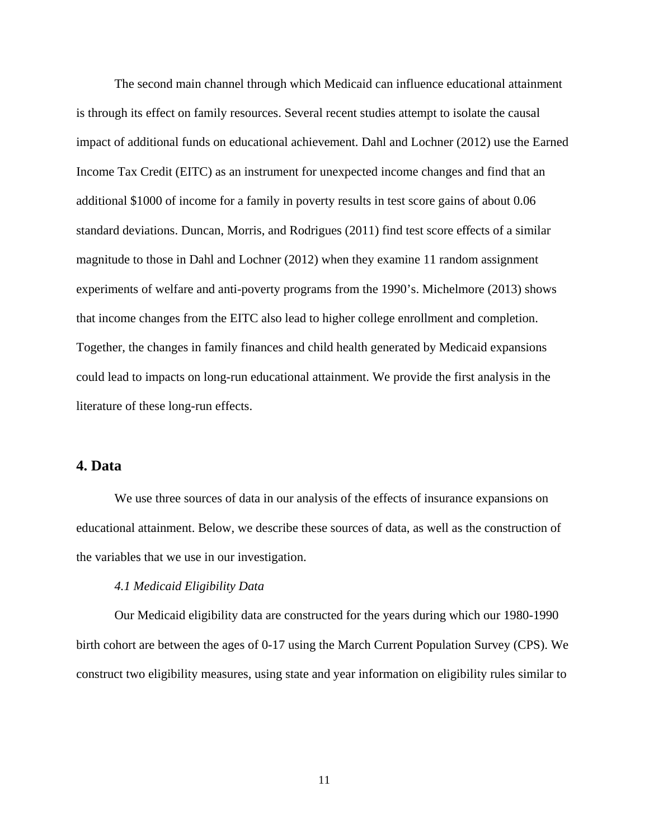The second main channel through which Medicaid can influence educational attainment is through its effect on family resources. Several recent studies attempt to isolate the causal impact of additional funds on educational achievement. Dahl and Lochner (2012) use the Earned Income Tax Credit (EITC) as an instrument for unexpected income changes and find that an additional \$1000 of income for a family in poverty results in test score gains of about 0.06 standard deviations. Duncan, Morris, and Rodrigues (2011) find test score effects of a similar magnitude to those in Dahl and Lochner (2012) when they examine 11 random assignment experiments of welfare and anti-poverty programs from the 1990's. Michelmore (2013) shows that income changes from the EITC also lead to higher college enrollment and completion. Together, the changes in family finances and child health generated by Medicaid expansions could lead to impacts on long-run educational attainment. We provide the first analysis in the literature of these long-run effects.

# **4. Data**

We use three sources of data in our analysis of the effects of insurance expansions on educational attainment. Below, we describe these sources of data, as well as the construction of the variables that we use in our investigation.

#### *4.1 Medicaid Eligibility Data*

Our Medicaid eligibility data are constructed for the years during which our 1980-1990 birth cohort are between the ages of 0-17 using the March Current Population Survey (CPS). We construct two eligibility measures, using state and year information on eligibility rules similar to

11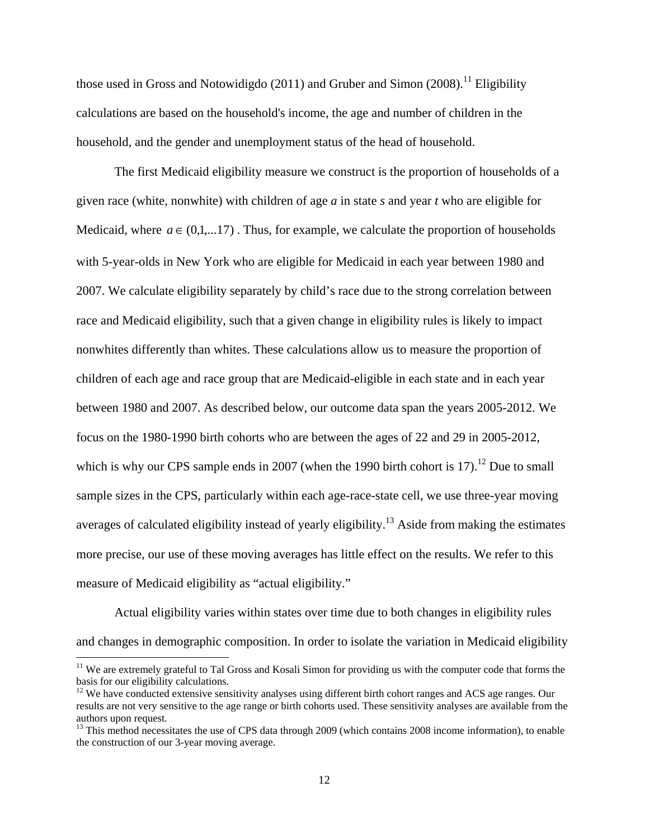those used in Gross and Notowidigdo (2011) and Gruber and Simon (2008).<sup>11</sup> Eligibility calculations are based on the household's income, the age and number of children in the household, and the gender and unemployment status of the head of household.

The first Medicaid eligibility measure we construct is the proportion of households of a given race (white, nonwhite) with children of age *a* in state *s* and year *t* who are eligible for Medicaid, where  $a \in (0,1,...17)$ . Thus, for example, we calculate the proportion of households with 5-year-olds in New York who are eligible for Medicaid in each year between 1980 and 2007. We calculate eligibility separately by child's race due to the strong correlation between race and Medicaid eligibility, such that a given change in eligibility rules is likely to impact nonwhites differently than whites. These calculations allow us to measure the proportion of children of each age and race group that are Medicaid-eligible in each state and in each year between 1980 and 2007. As described below, our outcome data span the years 2005-2012. We focus on the 1980-1990 birth cohorts who are between the ages of 22 and 29 in 2005-2012, which is why our CPS sample ends in 2007 (when the 1990 birth cohort is 17).<sup>12</sup> Due to small sample sizes in the CPS, particularly within each age-race-state cell, we use three-year moving averages of calculated eligibility instead of yearly eligibility.<sup>13</sup> Aside from making the estimates more precise, our use of these moving averages has little effect on the results. We refer to this measure of Medicaid eligibility as "actual eligibility."

 Actual eligibility varies within states over time due to both changes in eligibility rules and changes in demographic composition. In order to isolate the variation in Medicaid eligibility

 $\overline{\phantom{a}}$ 

<sup>&</sup>lt;sup>11</sup> We are extremely grateful to Tal Gross and Kosali Simon for providing us with the computer code that forms the basis for our eligibility calculations.

<sup>&</sup>lt;sup>12</sup> We have conducted extensive sensitivity analyses using different birth cohort ranges and ACS age ranges. Our results are not very sensitive to the age range or birth cohorts used. These sensitivity analyses are available from the authors upon request.

<sup>&</sup>lt;sup>13</sup> This method necessitates the use of CPS data through 2009 (which contains 2008 income information), to enable the construction of our 3-year moving average.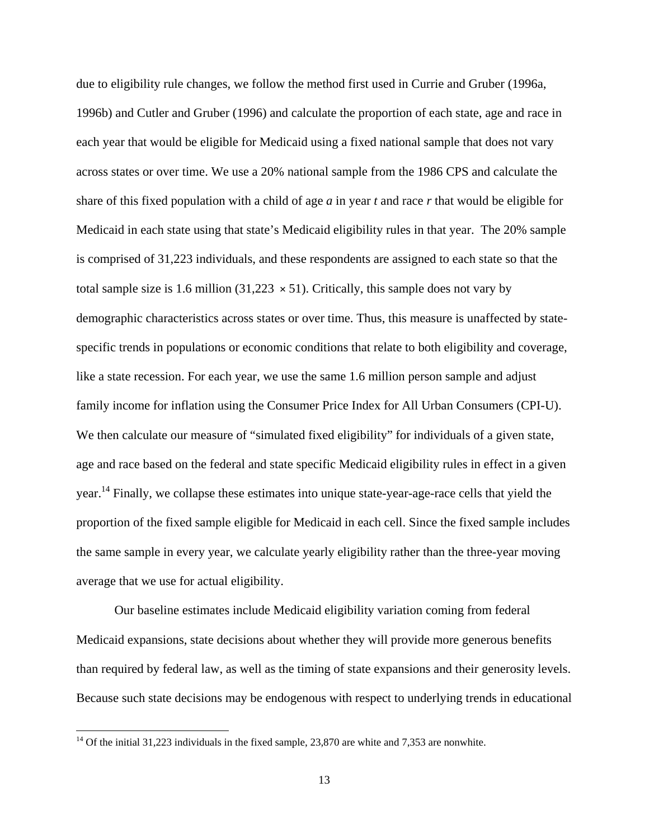due to eligibility rule changes, we follow the method first used in Currie and Gruber (1996a, 1996b) and Cutler and Gruber (1996) and calculate the proportion of each state, age and race in each year that would be eligible for Medicaid using a fixed national sample that does not vary across states or over time. We use a 20% national sample from the 1986 CPS and calculate the share of this fixed population with a child of age *a* in year *t* and race *r* that would be eligible for Medicaid in each state using that state's Medicaid eligibility rules in that year. The 20% sample is comprised of 31,223 individuals, and these respondents are assigned to each state so that the total sample size is 1.6 million (31,223  $\times$  51). Critically, this sample does not vary by demographic characteristics across states or over time. Thus, this measure is unaffected by statespecific trends in populations or economic conditions that relate to both eligibility and coverage, like a state recession. For each year, we use the same 1.6 million person sample and adjust family income for inflation using the Consumer Price Index for All Urban Consumers (CPI-U). We then calculate our measure of "simulated fixed eligibility" for individuals of a given state, age and race based on the federal and state specific Medicaid eligibility rules in effect in a given year.<sup>14</sup> Finally, we collapse these estimates into unique state-year-age-race cells that yield the proportion of the fixed sample eligible for Medicaid in each cell. Since the fixed sample includes the same sample in every year, we calculate yearly eligibility rather than the three-year moving average that we use for actual eligibility.

 Our baseline estimates include Medicaid eligibility variation coming from federal Medicaid expansions, state decisions about whether they will provide more generous benefits than required by federal law, as well as the timing of state expansions and their generosity levels. Because such state decisions may be endogenous with respect to underlying trends in educational

 $\overline{\phantom{a}}$ 

 $14$  Of the initial 31,223 individuals in the fixed sample, 23,870 are white and 7,353 are nonwhite.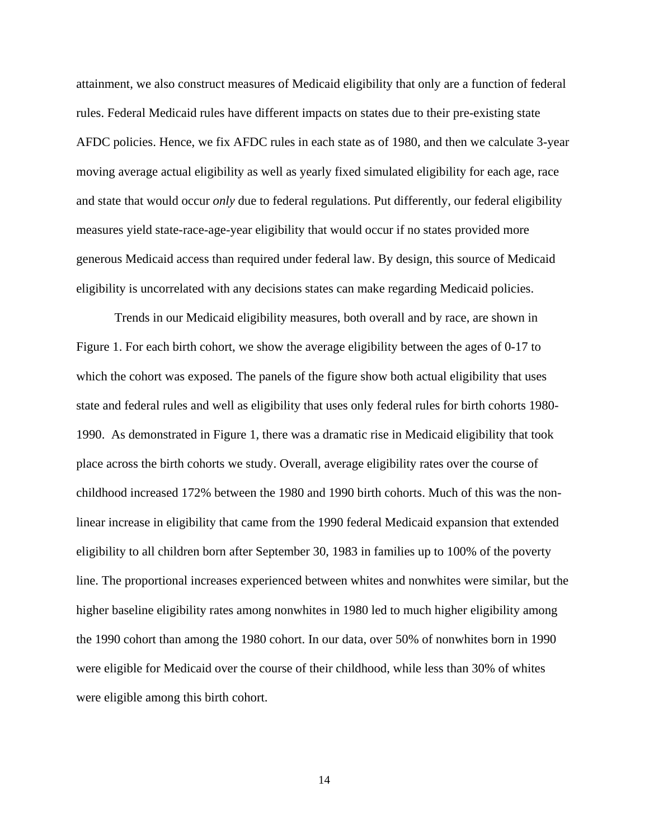attainment, we also construct measures of Medicaid eligibility that only are a function of federal rules. Federal Medicaid rules have different impacts on states due to their pre-existing state AFDC policies. Hence, we fix AFDC rules in each state as of 1980, and then we calculate 3-year moving average actual eligibility as well as yearly fixed simulated eligibility for each age, race and state that would occur *only* due to federal regulations. Put differently, our federal eligibility measures yield state-race-age-year eligibility that would occur if no states provided more generous Medicaid access than required under federal law. By design, this source of Medicaid eligibility is uncorrelated with any decisions states can make regarding Medicaid policies.

 Trends in our Medicaid eligibility measures, both overall and by race, are shown in Figure 1. For each birth cohort, we show the average eligibility between the ages of 0-17 to which the cohort was exposed. The panels of the figure show both actual eligibility that uses state and federal rules and well as eligibility that uses only federal rules for birth cohorts 1980- 1990. As demonstrated in Figure 1, there was a dramatic rise in Medicaid eligibility that took place across the birth cohorts we study. Overall, average eligibility rates over the course of childhood increased 172% between the 1980 and 1990 birth cohorts. Much of this was the nonlinear increase in eligibility that came from the 1990 federal Medicaid expansion that extended eligibility to all children born after September 30, 1983 in families up to 100% of the poverty line. The proportional increases experienced between whites and nonwhites were similar, but the higher baseline eligibility rates among nonwhites in 1980 led to much higher eligibility among the 1990 cohort than among the 1980 cohort. In our data, over 50% of nonwhites born in 1990 were eligible for Medicaid over the course of their childhood, while less than 30% of whites were eligible among this birth cohort.

14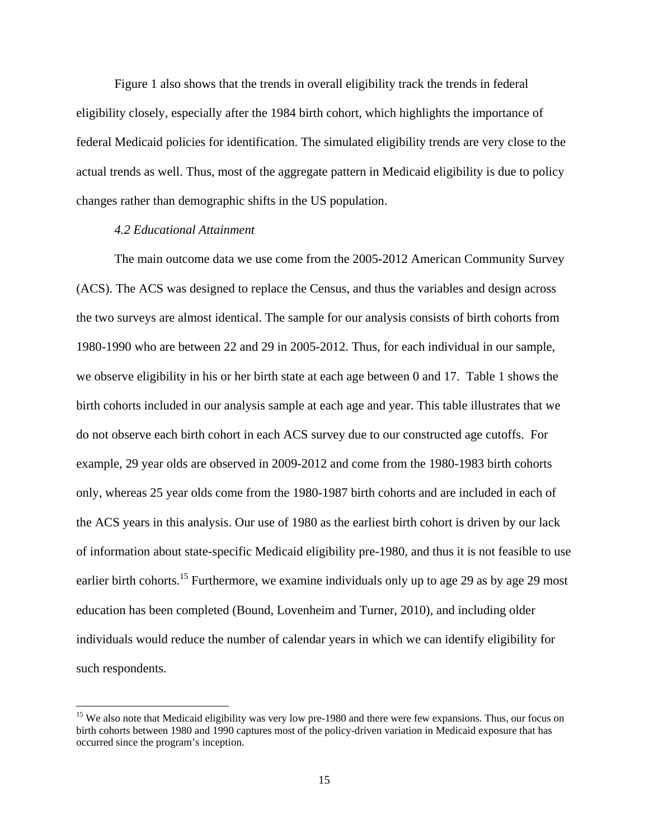Figure 1 also shows that the trends in overall eligibility track the trends in federal eligibility closely, especially after the 1984 birth cohort, which highlights the importance of federal Medicaid policies for identification. The simulated eligibility trends are very close to the actual trends as well. Thus, most of the aggregate pattern in Medicaid eligibility is due to policy changes rather than demographic shifts in the US population.

#### *4.2 Educational Attainment*

 $\overline{\phantom{a}}$ 

The main outcome data we use come from the 2005-2012 American Community Survey (ACS). The ACS was designed to replace the Census, and thus the variables and design across the two surveys are almost identical. The sample for our analysis consists of birth cohorts from 1980-1990 who are between 22 and 29 in 2005-2012. Thus, for each individual in our sample, we observe eligibility in his or her birth state at each age between 0 and 17. Table 1 shows the birth cohorts included in our analysis sample at each age and year. This table illustrates that we do not observe each birth cohort in each ACS survey due to our constructed age cutoffs. For example, 29 year olds are observed in 2009-2012 and come from the 1980-1983 birth cohorts only, whereas 25 year olds come from the 1980-1987 birth cohorts and are included in each of the ACS years in this analysis. Our use of 1980 as the earliest birth cohort is driven by our lack of information about state-specific Medicaid eligibility pre-1980, and thus it is not feasible to use earlier birth cohorts.<sup>15</sup> Furthermore, we examine individuals only up to age 29 as by age 29 most education has been completed (Bound, Lovenheim and Turner, 2010), and including older individuals would reduce the number of calendar years in which we can identify eligibility for such respondents.

<sup>&</sup>lt;sup>15</sup> We also note that Medicaid eligibility was very low pre-1980 and there were few expansions. Thus, our focus on birth cohorts between 1980 and 1990 captures most of the policy-driven variation in Medicaid exposure that has occurred since the program's inception.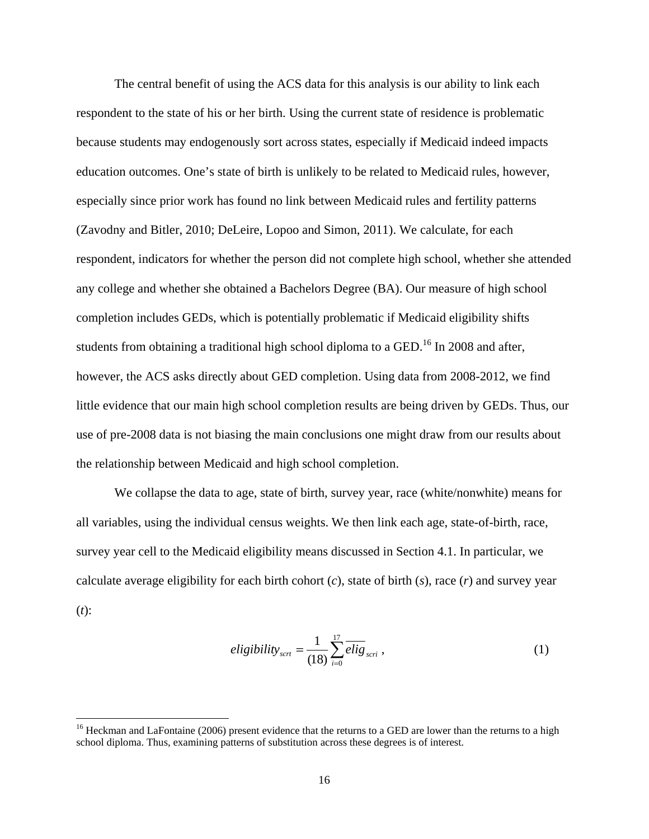The central benefit of using the ACS data for this analysis is our ability to link each respondent to the state of his or her birth. Using the current state of residence is problematic because students may endogenously sort across states, especially if Medicaid indeed impacts education outcomes. One's state of birth is unlikely to be related to Medicaid rules, however, especially since prior work has found no link between Medicaid rules and fertility patterns (Zavodny and Bitler, 2010; DeLeire, Lopoo and Simon, 2011). We calculate, for each respondent, indicators for whether the person did not complete high school, whether she attended any college and whether she obtained a Bachelors Degree (BA). Our measure of high school completion includes GEDs, which is potentially problematic if Medicaid eligibility shifts students from obtaining a traditional high school diploma to a GED.<sup>16</sup> In 2008 and after, however, the ACS asks directly about GED completion. Using data from 2008-2012, we find little evidence that our main high school completion results are being driven by GEDs. Thus, our use of pre-2008 data is not biasing the main conclusions one might draw from our results about the relationship between Medicaid and high school completion.

 We collapse the data to age, state of birth, survey year, race (white/nonwhite) means for all variables, using the individual census weights. We then link each age, state-of-birth, race, survey year cell to the Medicaid eligibility means discussed in Section 4.1. In particular, we calculate average eligibility for each birth cohort (*c*), state of birth (*s*), race (*r*) and survey year (*t*):

$$
eligibility_{scrt} = \frac{1}{(18)} \sum_{i=0}^{17} \overline{elig_{scri}} ,
$$
 (1)

 $\overline{a}$ 

<sup>&</sup>lt;sup>16</sup> Heckman and LaFontaine (2006) present evidence that the returns to a GED are lower than the returns to a high school diploma. Thus, examining patterns of substitution across these degrees is of interest.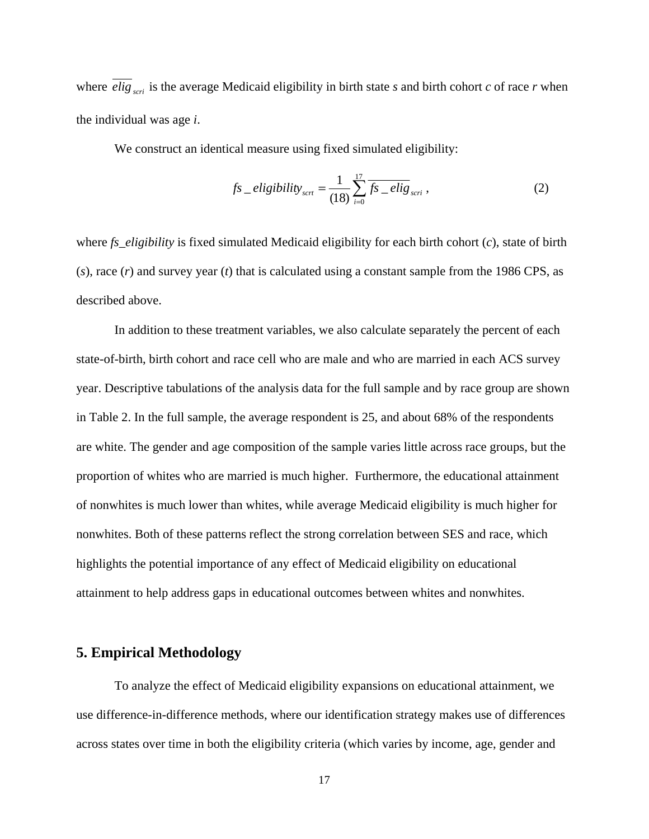where  $\text{elig}_{\text{scr}}$  is the average Medicaid eligibility in birth state *s* and birth cohort *c* of race *r* when the individual was age *i*.

We construct an identical measure using fixed simulated eligibility:

$$
fs\_eligibility_{scrt} = \frac{1}{(18)} \sum_{i=0}^{17} \overline{fs\_elig_{scri}} ,
$$
 (2)

where *fs\_eligibility* is fixed simulated Medicaid eligibility for each birth cohort (*c*), state of birth (*s*), race (*r*) and survey year (*t*) that is calculated using a constant sample from the 1986 CPS, as described above.

 In addition to these treatment variables, we also calculate separately the percent of each state-of-birth, birth cohort and race cell who are male and who are married in each ACS survey year. Descriptive tabulations of the analysis data for the full sample and by race group are shown in Table 2. In the full sample, the average respondent is 25, and about 68% of the respondents are white. The gender and age composition of the sample varies little across race groups, but the proportion of whites who are married is much higher. Furthermore, the educational attainment of nonwhites is much lower than whites, while average Medicaid eligibility is much higher for nonwhites. Both of these patterns reflect the strong correlation between SES and race, which highlights the potential importance of any effect of Medicaid eligibility on educational attainment to help address gaps in educational outcomes between whites and nonwhites.

## **5. Empirical Methodology**

 To analyze the effect of Medicaid eligibility expansions on educational attainment, we use difference-in-difference methods, where our identification strategy makes use of differences across states over time in both the eligibility criteria (which varies by income, age, gender and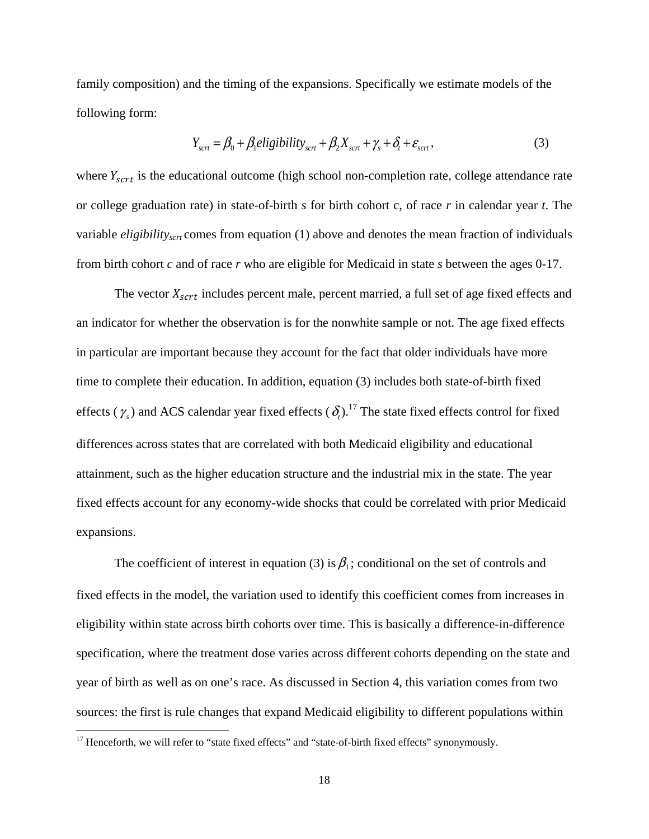family composition) and the timing of the expansions. Specifically we estimate models of the following form:

$$
Y_{\text{scr}} = \beta_0 + \beta_1 \text{eligibility}_{\text{scr}} + \beta_2 X_{\text{scr}} + \gamma_s + \delta_t + \varepsilon_{\text{sort}}\,,\tag{3}
$$

where  $Y_{\text{sort}}$  is the educational outcome (high school non-completion rate, college attendance rate or college graduation rate) in state-of-birth *s* for birth cohort c, of race *r* in calendar year *t*. The variable *eligibilityscrt* comes from equation (1) above and denotes the mean fraction of individuals from birth cohort *c* and of race *r* who are eligible for Medicaid in state *s* between the ages 0-17.

The vector  $X_{\text{sort}}$  includes percent male, percent married, a full set of age fixed effects and an indicator for whether the observation is for the nonwhite sample or not. The age fixed effects in particular are important because they account for the fact that older individuals have more time to complete their education. In addition, equation (3) includes both state-of-birth fixed effects ( $\gamma_s$ ) and ACS calendar year fixed effects ( $\delta_t$ ).<sup>17</sup> The state fixed effects control for fixed differences across states that are correlated with both Medicaid eligibility and educational attainment, such as the higher education structure and the industrial mix in the state. The year fixed effects account for any economy-wide shocks that could be correlated with prior Medicaid expansions.

The coefficient of interest in equation (3) is  $\beta_1$ ; conditional on the set of controls and fixed effects in the model, the variation used to identify this coefficient comes from increases in eligibility within state across birth cohorts over time. This is basically a difference-in-difference specification, where the treatment dose varies across different cohorts depending on the state and year of birth as well as on one's race. As discussed in Section 4, this variation comes from two sources: the first is rule changes that expand Medicaid eligibility to different populations within

 $\overline{\phantom{a}}$ 

<sup>&</sup>lt;sup>17</sup> Henceforth, we will refer to "state fixed effects" and "state-of-birth fixed effects" synonymously.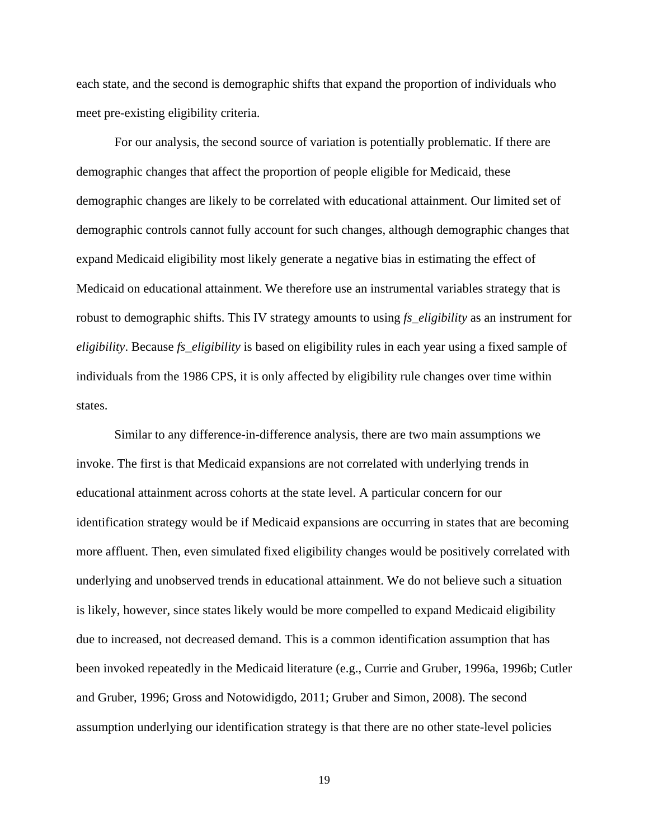each state, and the second is demographic shifts that expand the proportion of individuals who meet pre-existing eligibility criteria.

 For our analysis, the second source of variation is potentially problematic. If there are demographic changes that affect the proportion of people eligible for Medicaid, these demographic changes are likely to be correlated with educational attainment. Our limited set of demographic controls cannot fully account for such changes, although demographic changes that expand Medicaid eligibility most likely generate a negative bias in estimating the effect of Medicaid on educational attainment. We therefore use an instrumental variables strategy that is robust to demographic shifts. This IV strategy amounts to using *fs\_eligibility* as an instrument for *eligibility*. Because *fs\_eligibility* is based on eligibility rules in each year using a fixed sample of individuals from the 1986 CPS, it is only affected by eligibility rule changes over time within states.

Similar to any difference-in-difference analysis, there are two main assumptions we invoke. The first is that Medicaid expansions are not correlated with underlying trends in educational attainment across cohorts at the state level. A particular concern for our identification strategy would be if Medicaid expansions are occurring in states that are becoming more affluent. Then, even simulated fixed eligibility changes would be positively correlated with underlying and unobserved trends in educational attainment. We do not believe such a situation is likely, however, since states likely would be more compelled to expand Medicaid eligibility due to increased, not decreased demand. This is a common identification assumption that has been invoked repeatedly in the Medicaid literature (e.g., Currie and Gruber, 1996a, 1996b; Cutler and Gruber, 1996; Gross and Notowidigdo, 2011; Gruber and Simon, 2008). The second assumption underlying our identification strategy is that there are no other state-level policies

19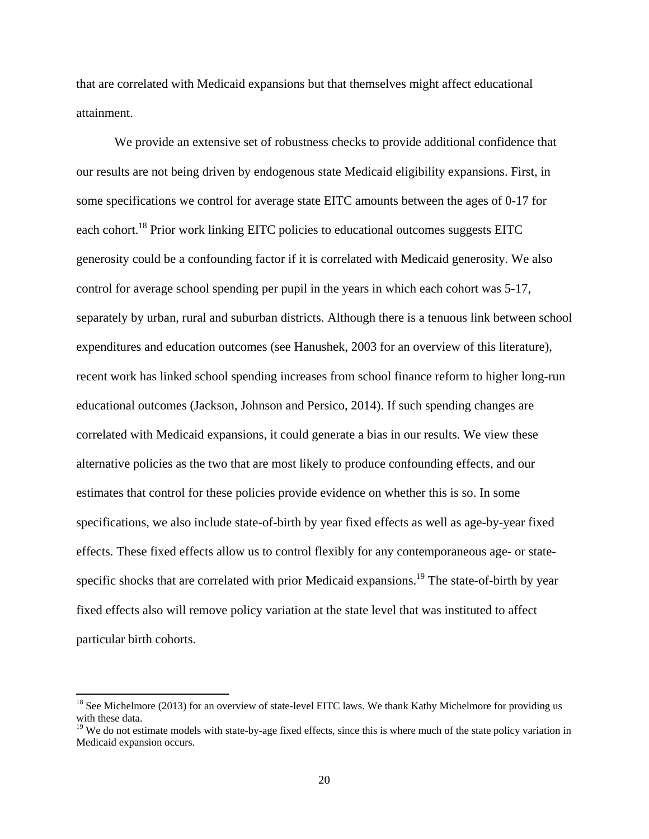that are correlated with Medicaid expansions but that themselves might affect educational attainment.

We provide an extensive set of robustness checks to provide additional confidence that our results are not being driven by endogenous state Medicaid eligibility expansions. First, in some specifications we control for average state EITC amounts between the ages of 0-17 for each cohort.18 Prior work linking EITC policies to educational outcomes suggests EITC generosity could be a confounding factor if it is correlated with Medicaid generosity. We also control for average school spending per pupil in the years in which each cohort was 5-17, separately by urban, rural and suburban districts. Although there is a tenuous link between school expenditures and education outcomes (see Hanushek, 2003 for an overview of this literature), recent work has linked school spending increases from school finance reform to higher long-run educational outcomes (Jackson, Johnson and Persico, 2014). If such spending changes are correlated with Medicaid expansions, it could generate a bias in our results. We view these alternative policies as the two that are most likely to produce confounding effects, and our estimates that control for these policies provide evidence on whether this is so. In some specifications, we also include state-of-birth by year fixed effects as well as age-by-year fixed effects. These fixed effects allow us to control flexibly for any contemporaneous age- or statespecific shocks that are correlated with prior Medicaid expansions.<sup>19</sup> The state-of-birth by year fixed effects also will remove policy variation at the state level that was instituted to affect particular birth cohorts.

 $\overline{\phantom{a}}$ 

<sup>&</sup>lt;sup>18</sup> See Michelmore (2013) for an overview of state-level EITC laws. We thank Kathy Michelmore for providing us with these data.

<sup>&</sup>lt;sup>19</sup> We do not estimate models with state-by-age fixed effects, since this is where much of the state policy variation in Medicaid expansion occurs.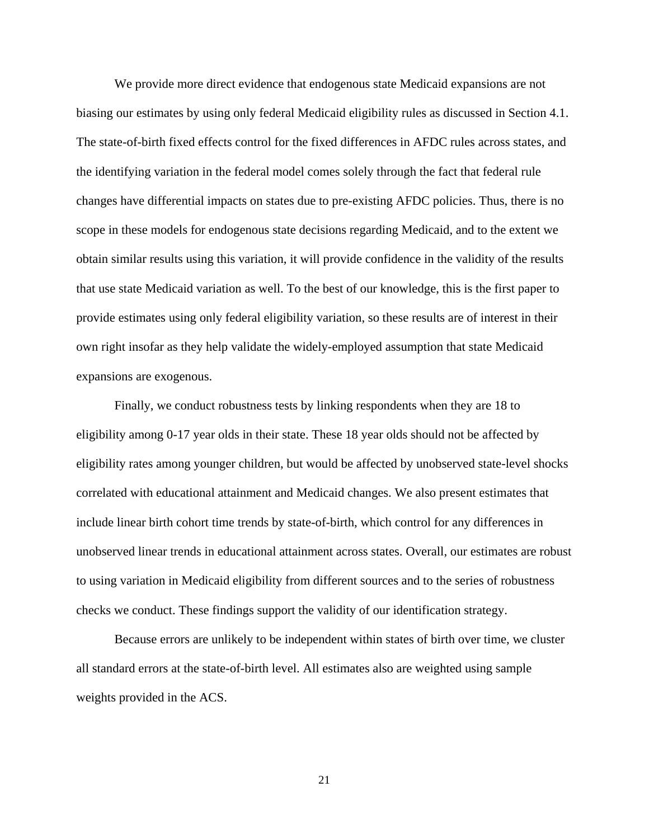We provide more direct evidence that endogenous state Medicaid expansions are not biasing our estimates by using only federal Medicaid eligibility rules as discussed in Section 4.1. The state-of-birth fixed effects control for the fixed differences in AFDC rules across states, and the identifying variation in the federal model comes solely through the fact that federal rule changes have differential impacts on states due to pre-existing AFDC policies. Thus, there is no scope in these models for endogenous state decisions regarding Medicaid, and to the extent we obtain similar results using this variation, it will provide confidence in the validity of the results that use state Medicaid variation as well. To the best of our knowledge, this is the first paper to provide estimates using only federal eligibility variation, so these results are of interest in their own right insofar as they help validate the widely-employed assumption that state Medicaid expansions are exogenous.

Finally, we conduct robustness tests by linking respondents when they are 18 to eligibility among 0-17 year olds in their state. These 18 year olds should not be affected by eligibility rates among younger children, but would be affected by unobserved state-level shocks correlated with educational attainment and Medicaid changes. We also present estimates that include linear birth cohort time trends by state-of-birth, which control for any differences in unobserved linear trends in educational attainment across states. Overall, our estimates are robust to using variation in Medicaid eligibility from different sources and to the series of robustness checks we conduct. These findings support the validity of our identification strategy.

 Because errors are unlikely to be independent within states of birth over time, we cluster all standard errors at the state-of-birth level. All estimates also are weighted using sample weights provided in the ACS.

21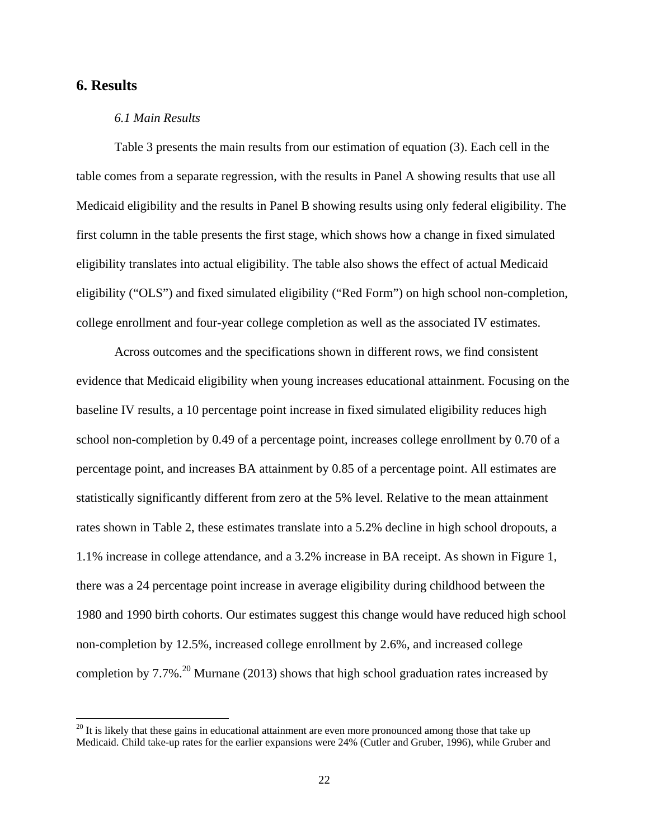# **6. Results**

 $\overline{a}$ 

#### *6.1 Main Results*

Table 3 presents the main results from our estimation of equation (3). Each cell in the table comes from a separate regression, with the results in Panel A showing results that use all Medicaid eligibility and the results in Panel B showing results using only federal eligibility. The first column in the table presents the first stage, which shows how a change in fixed simulated eligibility translates into actual eligibility. The table also shows the effect of actual Medicaid eligibility ("OLS") and fixed simulated eligibility ("Red Form") on high school non-completion, college enrollment and four-year college completion as well as the associated IV estimates.

Across outcomes and the specifications shown in different rows, we find consistent evidence that Medicaid eligibility when young increases educational attainment. Focusing on the baseline IV results, a 10 percentage point increase in fixed simulated eligibility reduces high school non-completion by 0.49 of a percentage point, increases college enrollment by 0.70 of a percentage point, and increases BA attainment by 0.85 of a percentage point. All estimates are statistically significantly different from zero at the 5% level. Relative to the mean attainment rates shown in Table 2, these estimates translate into a 5.2% decline in high school dropouts, a 1.1% increase in college attendance, and a 3.2% increase in BA receipt. As shown in Figure 1, there was a 24 percentage point increase in average eligibility during childhood between the 1980 and 1990 birth cohorts. Our estimates suggest this change would have reduced high school non-completion by 12.5%, increased college enrollment by 2.6%, and increased college completion by  $7.7\%$ <sup>20</sup> Murnane (2013) shows that high school graduation rates increased by

 $20$  It is likely that these gains in educational attainment are even more pronounced among those that take up Medicaid. Child take-up rates for the earlier expansions were 24% (Cutler and Gruber, 1996), while Gruber and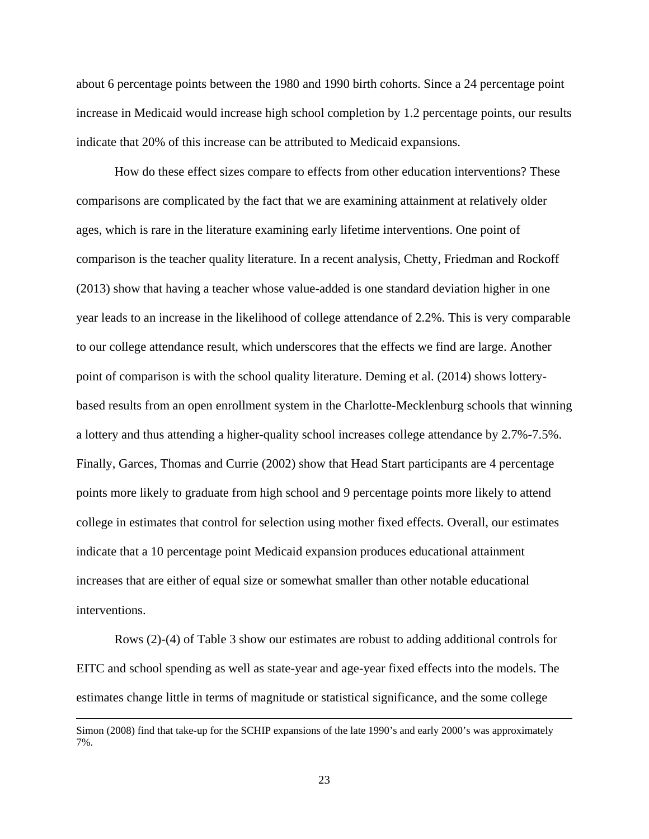about 6 percentage points between the 1980 and 1990 birth cohorts. Since a 24 percentage point increase in Medicaid would increase high school completion by 1.2 percentage points, our results indicate that 20% of this increase can be attributed to Medicaid expansions.

How do these effect sizes compare to effects from other education interventions? These comparisons are complicated by the fact that we are examining attainment at relatively older ages, which is rare in the literature examining early lifetime interventions. One point of comparison is the teacher quality literature. In a recent analysis, Chetty, Friedman and Rockoff (2013) show that having a teacher whose value-added is one standard deviation higher in one year leads to an increase in the likelihood of college attendance of 2.2%. This is very comparable to our college attendance result, which underscores that the effects we find are large. Another point of comparison is with the school quality literature. Deming et al. (2014) shows lotterybased results from an open enrollment system in the Charlotte-Mecklenburg schools that winning a lottery and thus attending a higher-quality school increases college attendance by 2.7%-7.5%. Finally, Garces, Thomas and Currie (2002) show that Head Start participants are 4 percentage points more likely to graduate from high school and 9 percentage points more likely to attend college in estimates that control for selection using mother fixed effects. Overall, our estimates indicate that a 10 percentage point Medicaid expansion produces educational attainment increases that are either of equal size or somewhat smaller than other notable educational interventions.

Rows (2)-(4) of Table 3 show our estimates are robust to adding additional controls for EITC and school spending as well as state-year and age-year fixed effects into the models. The estimates change little in terms of magnitude or statistical significance, and the some college

 $\overline{a}$ 

Simon (2008) find that take-up for the SCHIP expansions of the late 1990's and early 2000's was approximately 7%.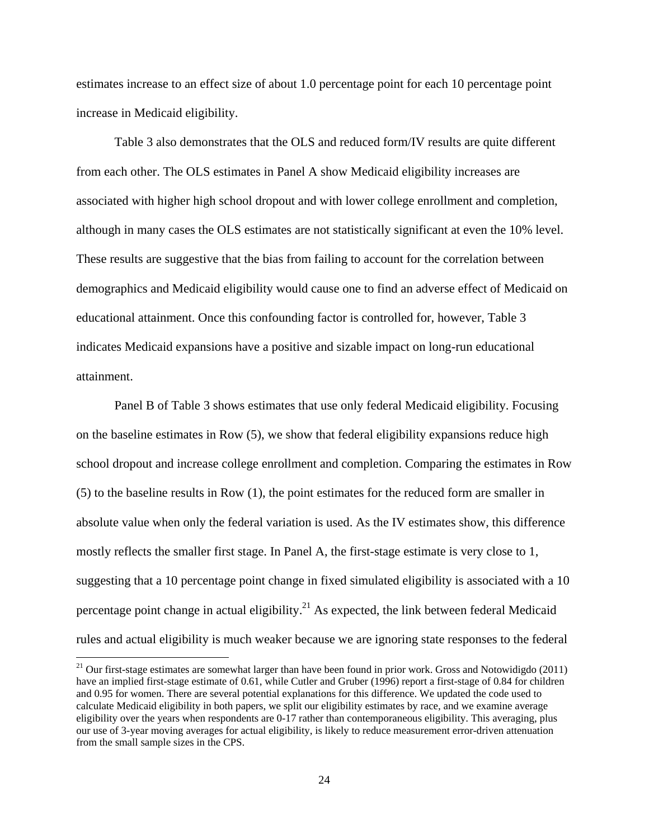estimates increase to an effect size of about 1.0 percentage point for each 10 percentage point increase in Medicaid eligibility.

Table 3 also demonstrates that the OLS and reduced form/IV results are quite different from each other. The OLS estimates in Panel A show Medicaid eligibility increases are associated with higher high school dropout and with lower college enrollment and completion, although in many cases the OLS estimates are not statistically significant at even the 10% level. These results are suggestive that the bias from failing to account for the correlation between demographics and Medicaid eligibility would cause one to find an adverse effect of Medicaid on educational attainment. Once this confounding factor is controlled for, however, Table 3 indicates Medicaid expansions have a positive and sizable impact on long-run educational attainment.

Panel B of Table 3 shows estimates that use only federal Medicaid eligibility. Focusing on the baseline estimates in Row (5), we show that federal eligibility expansions reduce high school dropout and increase college enrollment and completion. Comparing the estimates in Row (5) to the baseline results in Row (1), the point estimates for the reduced form are smaller in absolute value when only the federal variation is used. As the IV estimates show, this difference mostly reflects the smaller first stage. In Panel A, the first-stage estimate is very close to 1, suggesting that a 10 percentage point change in fixed simulated eligibility is associated with a 10 percentage point change in actual eligibility.<sup>21</sup> As expected, the link between federal Medicaid rules and actual eligibility is much weaker because we are ignoring state responses to the federal

 $\overline{\phantom{a}}$ 

 $21$  Our first-stage estimates are somewhat larger than have been found in prior work. Gross and Notowidigdo (2011) have an implied first-stage estimate of 0.61, while Cutler and Gruber (1996) report a first-stage of 0.84 for children and 0.95 for women. There are several potential explanations for this difference. We updated the code used to calculate Medicaid eligibility in both papers, we split our eligibility estimates by race, and we examine average eligibility over the years when respondents are  $0$ -17 rather than contemporaneous eligibility. This averaging, plus our use of 3-year moving averages for actual eligibility, is likely to reduce measurement error-driven attenuation from the small sample sizes in the CPS.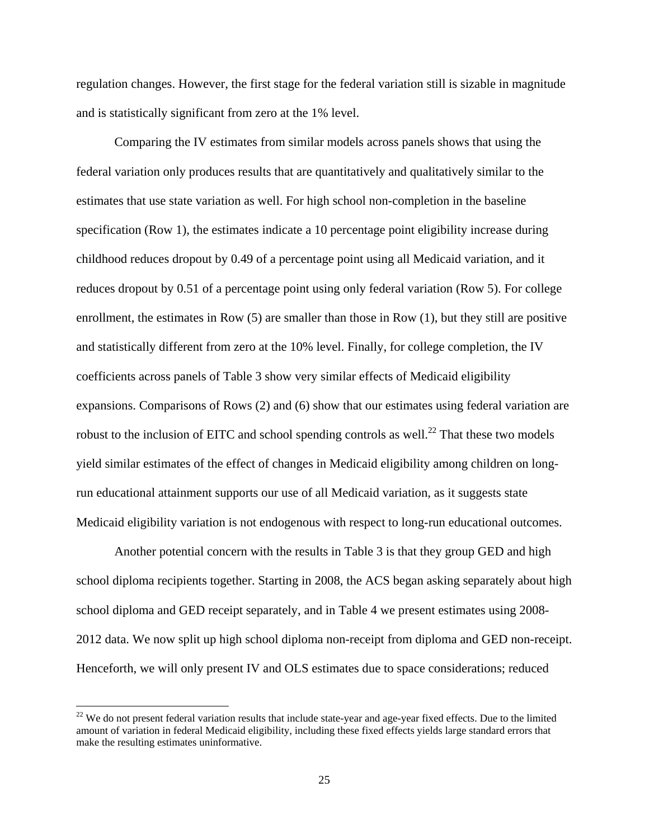regulation changes. However, the first stage for the federal variation still is sizable in magnitude and is statistically significant from zero at the 1% level.

Comparing the IV estimates from similar models across panels shows that using the federal variation only produces results that are quantitatively and qualitatively similar to the estimates that use state variation as well. For high school non-completion in the baseline specification (Row 1), the estimates indicate a 10 percentage point eligibility increase during childhood reduces dropout by 0.49 of a percentage point using all Medicaid variation, and it reduces dropout by 0.51 of a percentage point using only federal variation (Row 5). For college enrollment, the estimates in Row (5) are smaller than those in Row (1), but they still are positive and statistically different from zero at the 10% level. Finally, for college completion, the IV coefficients across panels of Table 3 show very similar effects of Medicaid eligibility expansions. Comparisons of Rows (2) and (6) show that our estimates using federal variation are robust to the inclusion of EITC and school spending controls as well.<sup>22</sup> That these two models yield similar estimates of the effect of changes in Medicaid eligibility among children on longrun educational attainment supports our use of all Medicaid variation, as it suggests state Medicaid eligibility variation is not endogenous with respect to long-run educational outcomes.

Another potential concern with the results in Table 3 is that they group GED and high school diploma recipients together. Starting in 2008, the ACS began asking separately about high school diploma and GED receipt separately, and in Table 4 we present estimates using 2008- 2012 data. We now split up high school diploma non-receipt from diploma and GED non-receipt. Henceforth, we will only present IV and OLS estimates due to space considerations; reduced

 $\overline{\phantom{a}}$ 

 $22$  We do not present federal variation results that include state-year and age-year fixed effects. Due to the limited amount of variation in federal Medicaid eligibility, including these fixed effects yields large standard errors that make the resulting estimates uninformative.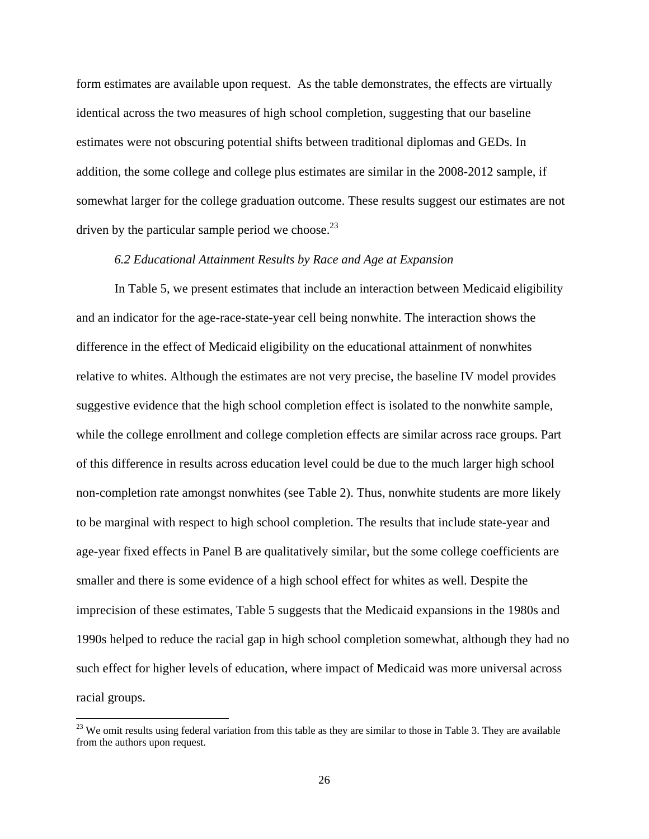form estimates are available upon request. As the table demonstrates, the effects are virtually identical across the two measures of high school completion, suggesting that our baseline estimates were not obscuring potential shifts between traditional diplomas and GEDs. In addition, the some college and college plus estimates are similar in the 2008-2012 sample, if somewhat larger for the college graduation outcome. These results suggest our estimates are not driven by the particular sample period we choose. $^{23}$ 

#### *6.2 Educational Attainment Results by Race and Age at Expansion*

In Table 5, we present estimates that include an interaction between Medicaid eligibility and an indicator for the age-race-state-year cell being nonwhite. The interaction shows the difference in the effect of Medicaid eligibility on the educational attainment of nonwhites relative to whites. Although the estimates are not very precise, the baseline IV model provides suggestive evidence that the high school completion effect is isolated to the nonwhite sample, while the college enrollment and college completion effects are similar across race groups. Part of this difference in results across education level could be due to the much larger high school non-completion rate amongst nonwhites (see Table 2). Thus, nonwhite students are more likely to be marginal with respect to high school completion. The results that include state-year and age-year fixed effects in Panel B are qualitatively similar, but the some college coefficients are smaller and there is some evidence of a high school effect for whites as well. Despite the imprecision of these estimates, Table 5 suggests that the Medicaid expansions in the 1980s and 1990s helped to reduce the racial gap in high school completion somewhat, although they had no such effect for higher levels of education, where impact of Medicaid was more universal across racial groups.

 $\overline{a}$ 

<sup>&</sup>lt;sup>23</sup> We omit results using federal variation from this table as they are similar to those in Table 3. They are available from the authors upon request.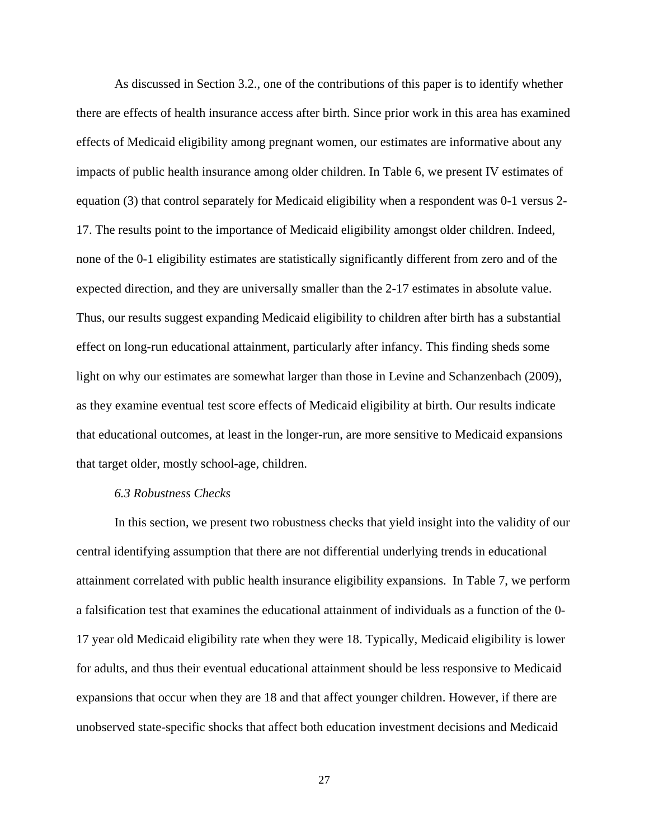As discussed in Section 3.2., one of the contributions of this paper is to identify whether there are effects of health insurance access after birth. Since prior work in this area has examined effects of Medicaid eligibility among pregnant women, our estimates are informative about any impacts of public health insurance among older children. In Table 6, we present IV estimates of equation (3) that control separately for Medicaid eligibility when a respondent was 0-1 versus 2- 17. The results point to the importance of Medicaid eligibility amongst older children. Indeed, none of the 0-1 eligibility estimates are statistically significantly different from zero and of the expected direction, and they are universally smaller than the 2-17 estimates in absolute value. Thus, our results suggest expanding Medicaid eligibility to children after birth has a substantial effect on long-run educational attainment, particularly after infancy. This finding sheds some light on why our estimates are somewhat larger than those in Levine and Schanzenbach (2009), as they examine eventual test score effects of Medicaid eligibility at birth. Our results indicate that educational outcomes, at least in the longer-run, are more sensitive to Medicaid expansions that target older, mostly school-age, children.

#### *6.3 Robustness Checks*

In this section, we present two robustness checks that yield insight into the validity of our central identifying assumption that there are not differential underlying trends in educational attainment correlated with public health insurance eligibility expansions. In Table 7, we perform a falsification test that examines the educational attainment of individuals as a function of the 0- 17 year old Medicaid eligibility rate when they were 18. Typically, Medicaid eligibility is lower for adults, and thus their eventual educational attainment should be less responsive to Medicaid expansions that occur when they are 18 and that affect younger children. However, if there are unobserved state-specific shocks that affect both education investment decisions and Medicaid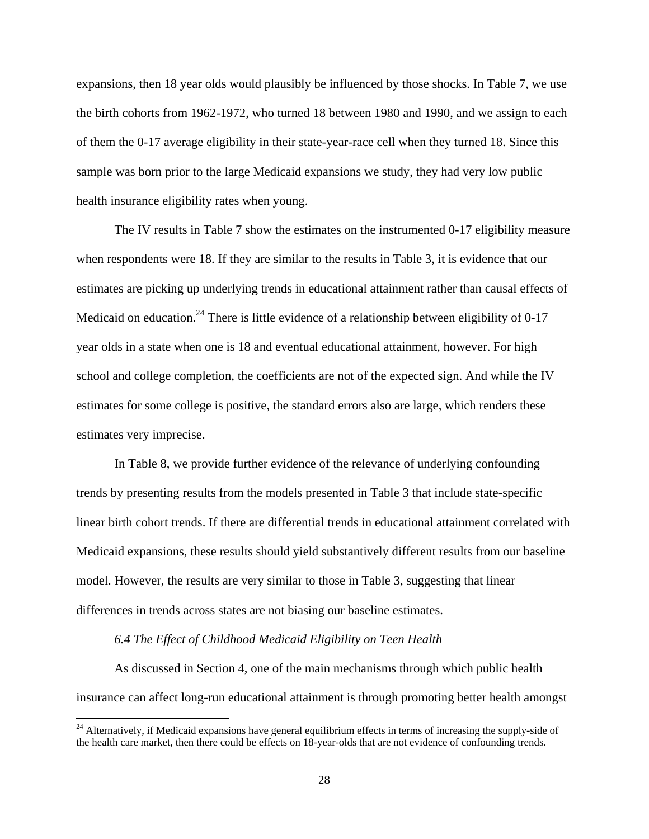expansions, then 18 year olds would plausibly be influenced by those shocks. In Table 7, we use the birth cohorts from 1962-1972, who turned 18 between 1980 and 1990, and we assign to each of them the 0-17 average eligibility in their state-year-race cell when they turned 18. Since this sample was born prior to the large Medicaid expansions we study, they had very low public health insurance eligibility rates when young.

The IV results in Table 7 show the estimates on the instrumented 0-17 eligibility measure when respondents were 18. If they are similar to the results in Table 3, it is evidence that our estimates are picking up underlying trends in educational attainment rather than causal effects of Medicaid on education.<sup>24</sup> There is little evidence of a relationship between eligibility of 0-17 year olds in a state when one is 18 and eventual educational attainment, however. For high school and college completion, the coefficients are not of the expected sign. And while the IV estimates for some college is positive, the standard errors also are large, which renders these estimates very imprecise.

In Table 8, we provide further evidence of the relevance of underlying confounding trends by presenting results from the models presented in Table 3 that include state-specific linear birth cohort trends. If there are differential trends in educational attainment correlated with Medicaid expansions, these results should yield substantively different results from our baseline model. However, the results are very similar to those in Table 3, suggesting that linear differences in trends across states are not biasing our baseline estimates.

#### *6.4 The Effect of Childhood Medicaid Eligibility on Teen Health*

 $\overline{a}$ 

As discussed in Section 4, one of the main mechanisms through which public health insurance can affect long-run educational attainment is through promoting better health amongst

 $24$  Alternatively, if Medicaid expansions have general equilibrium effects in terms of increasing the supply-side of the health care market, then there could be effects on 18-year-olds that are not evidence of confounding trends.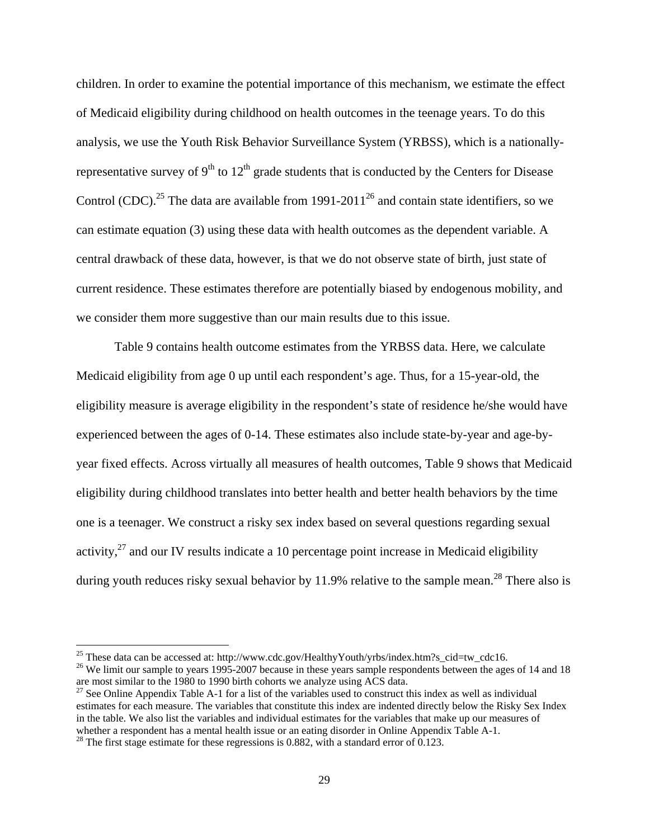children. In order to examine the potential importance of this mechanism, we estimate the effect of Medicaid eligibility during childhood on health outcomes in the teenage years. To do this analysis, we use the Youth Risk Behavior Surveillance System (YRBSS), which is a nationallyrepresentative survey of  $9<sup>th</sup>$  to  $12<sup>th</sup>$  grade students that is conducted by the Centers for Disease Control (CDC).<sup>25</sup> The data are available from 1991-2011<sup>26</sup> and contain state identifiers, so we can estimate equation (3) using these data with health outcomes as the dependent variable. A central drawback of these data, however, is that we do not observe state of birth, just state of current residence. These estimates therefore are potentially biased by endogenous mobility, and we consider them more suggestive than our main results due to this issue.

Table 9 contains health outcome estimates from the YRBSS data. Here, we calculate Medicaid eligibility from age 0 up until each respondent's age. Thus, for a 15-year-old, the eligibility measure is average eligibility in the respondent's state of residence he/she would have experienced between the ages of 0-14. These estimates also include state-by-year and age-byyear fixed effects. Across virtually all measures of health outcomes, Table 9 shows that Medicaid eligibility during childhood translates into better health and better health behaviors by the time one is a teenager. We construct a risky sex index based on several questions regarding sexual activity,  $27$  and our IV results indicate a 10 percentage point increase in Medicaid eligibility during youth reduces risky sexual behavior by 11.9% relative to the sample mean.<sup>28</sup> There also is

 $\overline{a}$ 

<sup>&</sup>lt;sup>25</sup> These data can be accessed at: http://www.cdc.gov/HealthyYouth/yrbs/index.htm?s\_cid=tw\_cdc16. <sup>26</sup> We limit our sample to years 1995-2007 because in these years sample respondents between the ages of 14 and 18 are most similar to the 1980 to 1990 birth cohorts we analyze using ACS data.

<sup>&</sup>lt;sup>27</sup> See Online Appendix Table A-1 for a list of the variables used to construct this index as well as individual estimates for each measure. The variables that constitute this index are indented directly below the Risky Sex Index in the table. We also list the variables and individual estimates for the variables that make up our measures of whether a respondent has a mental health issue or an eating disorder in Online Appendix Table A-1.

 $28$  The first stage estimate for these regressions is 0.882, with a standard error of 0.123.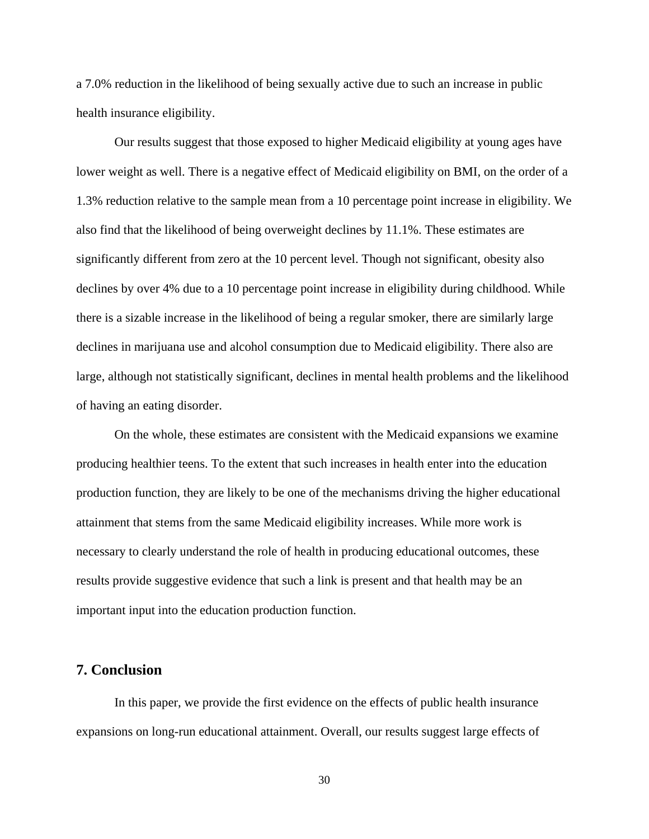a 7.0% reduction in the likelihood of being sexually active due to such an increase in public health insurance eligibility.

Our results suggest that those exposed to higher Medicaid eligibility at young ages have lower weight as well. There is a negative effect of Medicaid eligibility on BMI, on the order of a 1.3% reduction relative to the sample mean from a 10 percentage point increase in eligibility. We also find that the likelihood of being overweight declines by 11.1%. These estimates are significantly different from zero at the 10 percent level. Though not significant, obesity also declines by over 4% due to a 10 percentage point increase in eligibility during childhood. While there is a sizable increase in the likelihood of being a regular smoker, there are similarly large declines in marijuana use and alcohol consumption due to Medicaid eligibility. There also are large, although not statistically significant, declines in mental health problems and the likelihood of having an eating disorder.

On the whole, these estimates are consistent with the Medicaid expansions we examine producing healthier teens. To the extent that such increases in health enter into the education production function, they are likely to be one of the mechanisms driving the higher educational attainment that stems from the same Medicaid eligibility increases. While more work is necessary to clearly understand the role of health in producing educational outcomes, these results provide suggestive evidence that such a link is present and that health may be an important input into the education production function.

## **7. Conclusion**

In this paper, we provide the first evidence on the effects of public health insurance expansions on long-run educational attainment. Overall, our results suggest large effects of

30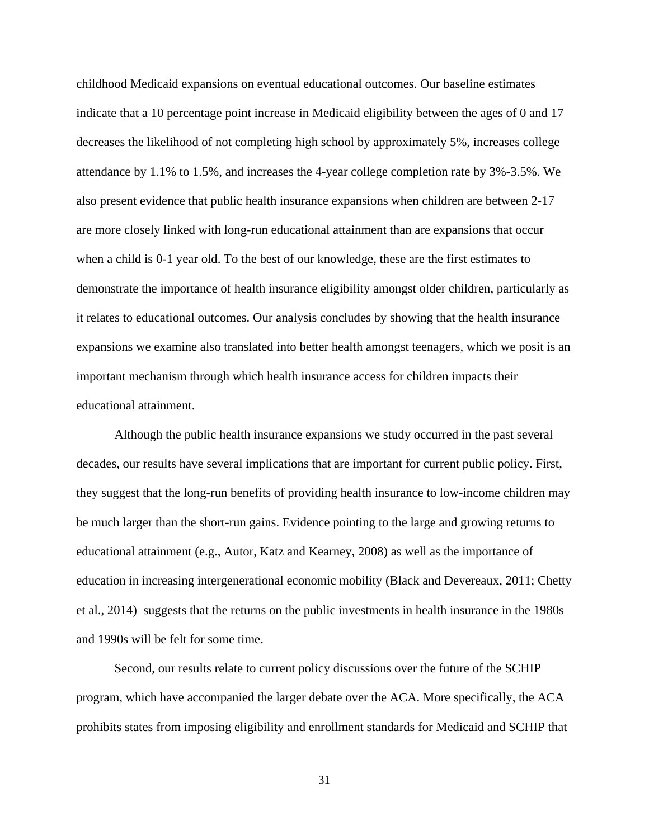childhood Medicaid expansions on eventual educational outcomes. Our baseline estimates indicate that a 10 percentage point increase in Medicaid eligibility between the ages of 0 and 17 decreases the likelihood of not completing high school by approximately 5%, increases college attendance by 1.1% to 1.5%, and increases the 4-year college completion rate by 3%-3.5%. We also present evidence that public health insurance expansions when children are between 2-17 are more closely linked with long-run educational attainment than are expansions that occur when a child is 0-1 year old. To the best of our knowledge, these are the first estimates to demonstrate the importance of health insurance eligibility amongst older children, particularly as it relates to educational outcomes. Our analysis concludes by showing that the health insurance expansions we examine also translated into better health amongst teenagers, which we posit is an important mechanism through which health insurance access for children impacts their educational attainment.

Although the public health insurance expansions we study occurred in the past several decades, our results have several implications that are important for current public policy. First, they suggest that the long-run benefits of providing health insurance to low-income children may be much larger than the short-run gains. Evidence pointing to the large and growing returns to educational attainment (e.g., Autor, Katz and Kearney, 2008) as well as the importance of education in increasing intergenerational economic mobility (Black and Devereaux, 2011; Chetty et al., 2014) suggests that the returns on the public investments in health insurance in the 1980s and 1990s will be felt for some time.

Second, our results relate to current policy discussions over the future of the SCHIP program, which have accompanied the larger debate over the ACA. More specifically, the ACA prohibits states from imposing eligibility and enrollment standards for Medicaid and SCHIP that

31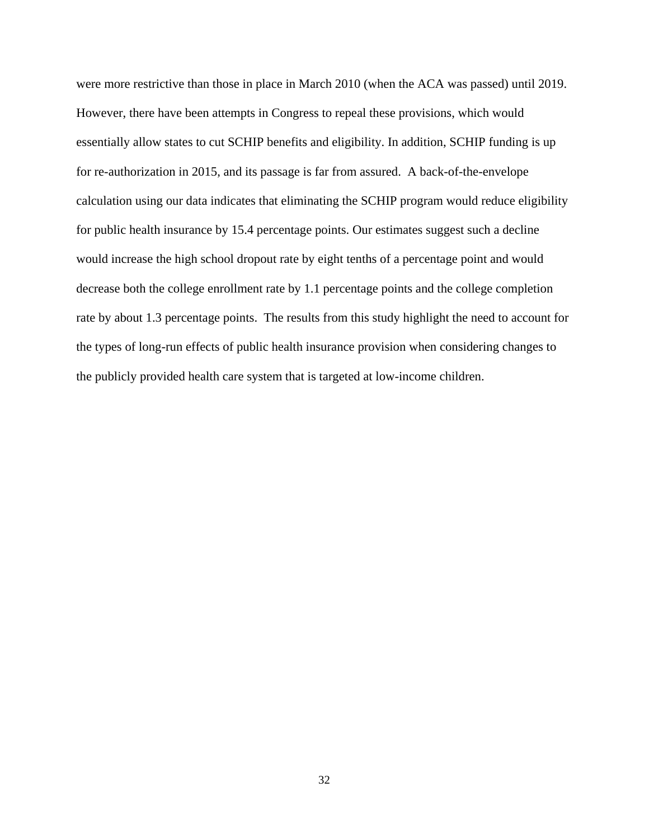were more restrictive than those in place in March 2010 (when the ACA was passed) until 2019. However, there have been attempts in Congress to repeal these provisions, which would essentially allow states to cut SCHIP benefits and eligibility. In addition, SCHIP funding is up for re-authorization in 2015, and its passage is far from assured. A back-of-the-envelope calculation using our data indicates that eliminating the SCHIP program would reduce eligibility for public health insurance by 15.4 percentage points. Our estimates suggest such a decline would increase the high school dropout rate by eight tenths of a percentage point and would decrease both the college enrollment rate by 1.1 percentage points and the college completion rate by about 1.3 percentage points. The results from this study highlight the need to account for the types of long-run effects of public health insurance provision when considering changes to the publicly provided health care system that is targeted at low-income children.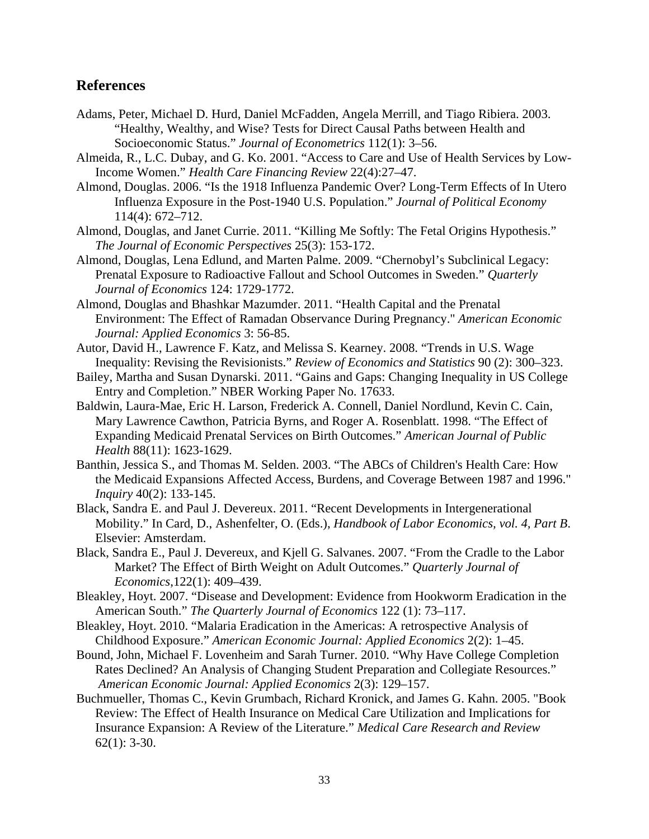# **References**

- Adams, Peter, Michael D. Hurd, Daniel McFadden, Angela Merrill, and Tiago Ribiera. 2003. "Healthy, Wealthy, and Wise? Tests for Direct Causal Paths between Health and Socioeconomic Status." *Journal of Econometrics* 112(1): 3–56.
- Almeida, R., L.C. Dubay, and G. Ko. 2001. "Access to Care and Use of Health Services by Low-Income Women." *Health Care Financing Review* 22(4):27–47.
- Almond, Douglas. 2006. "Is the 1918 Influenza Pandemic Over? Long-Term Effects of In Utero Influenza Exposure in the Post-1940 U.S. Population." *Journal of Political Economy* 114(4): 672–712.
- Almond, Douglas, and Janet Currie. 2011. "Killing Me Softly: The Fetal Origins Hypothesis." *The Journal of Economic Perspectives* 25(3): 153-172.
- Almond, Douglas, Lena Edlund, and Marten Palme. 2009. "Chernobyl's Subclinical Legacy: Prenatal Exposure to Radioactive Fallout and School Outcomes in Sweden." *Quarterly Journal of Economics* 124: 1729-1772.
- Almond, Douglas and Bhashkar Mazumder. 2011. "Health Capital and the Prenatal Environment: The Effect of Ramadan Observance During Pregnancy." *American Economic Journal: Applied Economics* 3: 56-85.
- Autor, David H., Lawrence F. Katz, and Melissa S. Kearney. 2008. "Trends in U.S. Wage Inequality: Revising the Revisionists." *Review of Economics and Statistics* 90 (2): 300–323.
- Bailey, Martha and Susan Dynarski. 2011. "Gains and Gaps: Changing Inequality in US College Entry and Completion." NBER Working Paper No. 17633.
- Baldwin, Laura-Mae, Eric H. Larson, Frederick A. Connell, Daniel Nordlund, Kevin C. Cain, Mary Lawrence Cawthon, Patricia Byrns, and Roger A. Rosenblatt. 1998. "The Effect of Expanding Medicaid Prenatal Services on Birth Outcomes." *American Journal of Public Health* 88(11): 1623-1629.
- Banthin, Jessica S., and Thomas M. Selden. 2003. "The ABCs of Children's Health Care: How the Medicaid Expansions Affected Access, Burdens, and Coverage Between 1987 and 1996." *Inquiry* 40(2): 133-145.
- Black, Sandra E. and Paul J. Devereux. 2011. "Recent Developments in Intergenerational Mobility." In Card, D., Ashenfelter, O. (Eds.), *Handbook of Labor Economics, vol. 4, Part B*. Elsevier: Amsterdam.
- Black, Sandra E., Paul J. Devereux, and Kjell G. Salvanes. 2007. "From the Cradle to the Labor Market? The Effect of Birth Weight on Adult Outcomes." *Quarterly Journal of Economics*,122(1): 409–439.
- Bleakley, Hoyt. 2007. "Disease and Development: Evidence from Hookworm Eradication in the American South." *The Quarterly Journal of Economics* 122 (1): 73–117.
- Bleakley, Hoyt. 2010. "Malaria Eradication in the Americas: A retrospective Analysis of Childhood Exposure." *American Economic Journal: Applied Economics* 2(2): 1–45.
- Bound, John, Michael F. Lovenheim and Sarah Turner. 2010. "Why Have College Completion Rates Declined? An Analysis of Changing Student Preparation and Collegiate Resources." *American Economic Journal: Applied Economics* 2(3): 129–157.
- Buchmueller, Thomas C., Kevin Grumbach, Richard Kronick, and James G. Kahn. 2005. "Book Review: The Effect of Health Insurance on Medical Care Utilization and Implications for Insurance Expansion: A Review of the Literature." *Medical Care Research and Review* 62(1): 3-30.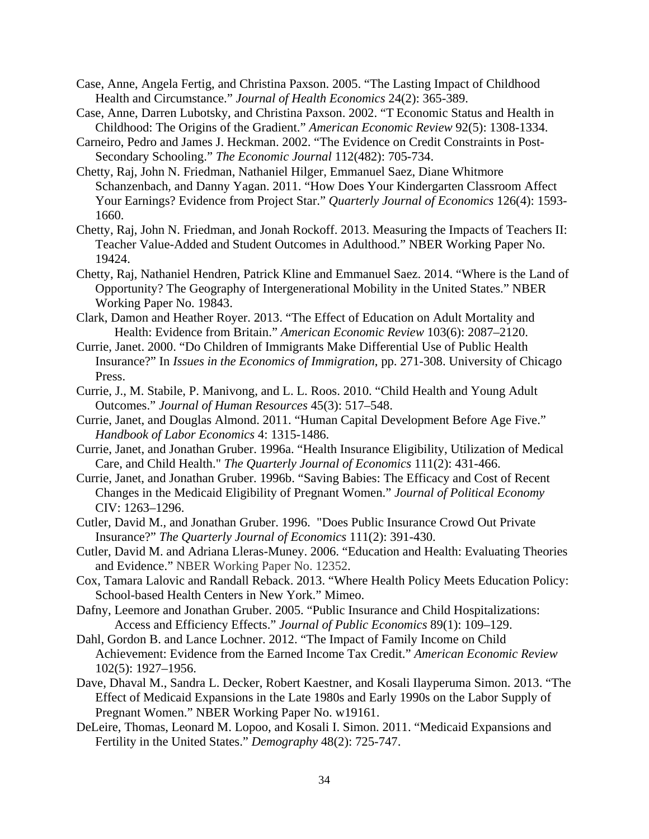- Case, Anne, Angela Fertig, and Christina Paxson. 2005. "The Lasting Impact of Childhood Health and Circumstance." *Journal of Health Economics* 24(2): 365-389.
- Case, Anne, Darren Lubotsky, and Christina Paxson. 2002. "T Economic Status and Health in Childhood: The Origins of the Gradient." *American Economic Review* 92(5): 1308-1334.
- Carneiro, Pedro and James J. Heckman. 2002. "The Evidence on Credit Constraints in Post-Secondary Schooling." *The Economic Journal* 112(482): 705-734.
- Chetty, Raj, John N. Friedman, Nathaniel Hilger, Emmanuel Saez, Diane Whitmore Schanzenbach, and Danny Yagan. 2011. "How Does Your Kindergarten Classroom Affect Your Earnings? Evidence from Project Star." *Quarterly Journal of Economics* 126(4): 1593- 1660.
- Chetty, Raj, John N. Friedman, and Jonah Rockoff. 2013. Measuring the Impacts of Teachers II: Teacher Value-Added and Student Outcomes in Adulthood." NBER Working Paper No. 19424.
- Chetty, Raj, Nathaniel Hendren, Patrick Kline and Emmanuel Saez. 2014. "Where is the Land of Opportunity? The Geography of Intergenerational Mobility in the United States." NBER Working Paper No. 19843.
- Clark, Damon and Heather Royer. 2013. "The Effect of Education on Adult Mortality and Health: Evidence from Britain." *American Economic Review* 103(6): 2087–2120.
- Currie, Janet. 2000. "Do Children of Immigrants Make Differential Use of Public Health Insurance?" In *Issues in the Economics of Immigration*, pp. 271-308. University of Chicago Press.
- Currie, J., M. Stabile, P. Manivong, and L. L. Roos. 2010. "Child Health and Young Adult Outcomes." *Journal of Human Resources* 45(3): 517–548.
- Currie, Janet, and Douglas Almond. 2011. "Human Capital Development Before Age Five." *Handbook of Labor Economics* 4: 1315-1486.
- Currie, Janet, and Jonathan Gruber. 1996a. "Health Insurance Eligibility, Utilization of Medical Care, and Child Health." *The Quarterly Journal of Economics* 111(2): 431-466.
- Currie, Janet, and Jonathan Gruber. 1996b. "Saving Babies: The Efficacy and Cost of Recent Changes in the Medicaid Eligibility of Pregnant Women." *Journal of Political Economy* CIV: 1263–1296.
- Cutler, David M., and Jonathan Gruber. 1996. "Does Public Insurance Crowd Out Private Insurance?" *The Quarterly Journal of Economics* 111(2): 391-430.
- Cutler, David M. and Adriana Lleras-Muney. 2006. "Education and Health: Evaluating Theories and Evidence." NBER Working Paper No. 12352.
- Cox, Tamara Lalovic and Randall Reback. 2013. "Where Health Policy Meets Education Policy: School-based Health Centers in New York." Mimeo.
- Dafny, Leemore and Jonathan Gruber. 2005. "Public Insurance and Child Hospitalizations: Access and Efficiency Effects." *Journal of Public Economics* 89(1): 109–129.
- Dahl, Gordon B. and Lance Lochner. 2012. "The Impact of Family Income on Child Achievement: Evidence from the Earned Income Tax Credit." *American Economic Review* 102(5): 1927–1956.
- Dave, Dhaval M., Sandra L. Decker, Robert Kaestner, and Kosali Ilayperuma Simon. 2013. "The Effect of Medicaid Expansions in the Late 1980s and Early 1990s on the Labor Supply of Pregnant Women." NBER Working Paper No. w19161.
- DeLeire, Thomas, Leonard M. Lopoo, and Kosali I. Simon. 2011. "Medicaid Expansions and Fertility in the United States." *Demography* 48(2): 725-747.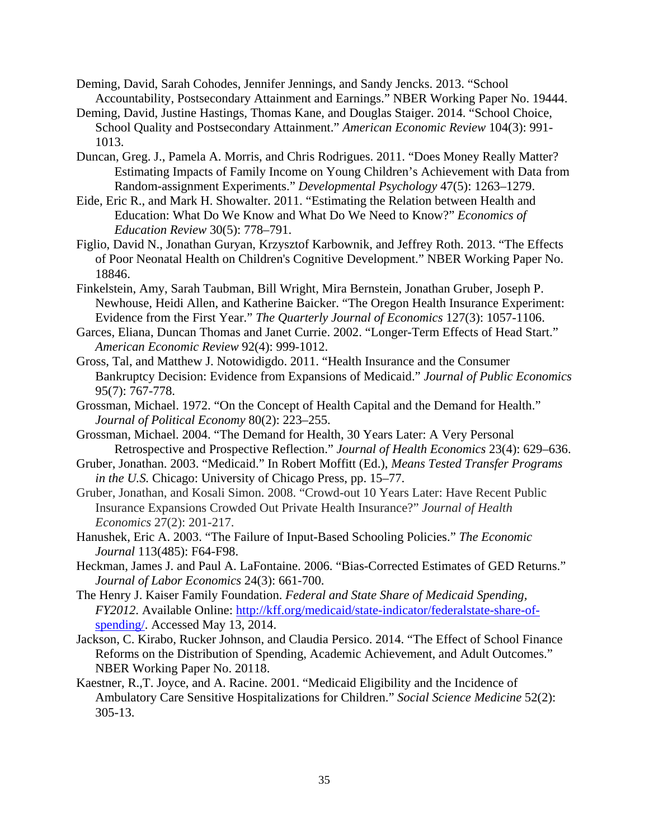- Deming, David, Sarah Cohodes, Jennifer Jennings, and Sandy Jencks. 2013. "School Accountability, Postsecondary Attainment and Earnings." NBER Working Paper No. 19444.
- Deming, David, Justine Hastings, Thomas Kane, and Douglas Staiger. 2014. "School Choice, School Quality and Postsecondary Attainment." *American Economic Review* 104(3): 991- 1013.
- Duncan, Greg. J., Pamela A. Morris, and Chris Rodrigues. 2011. "Does Money Really Matter? Estimating Impacts of Family Income on Young Children's Achievement with Data from Random-assignment Experiments." *Developmental Psychology* 47(5): 1263–1279.
- Eide, Eric R., and Mark H. Showalter. 2011. "Estimating the Relation between Health and Education: What Do We Know and What Do We Need to Know?" *Economics of Education Review* 30(5): 778–791.
- Figlio, David N., Jonathan Guryan, Krzysztof Karbownik, and Jeffrey Roth. 2013. "The Effects of Poor Neonatal Health on Children's Cognitive Development." NBER Working Paper No. 18846.
- Finkelstein, Amy, Sarah Taubman, Bill Wright, Mira Bernstein, Jonathan Gruber, Joseph P. Newhouse, Heidi Allen, and Katherine Baicker. "The Oregon Health Insurance Experiment: Evidence from the First Year." *The Quarterly Journal of Economics* 127(3): 1057-1106.
- Garces, Eliana, Duncan Thomas and Janet Currie. 2002. "Longer-Term Effects of Head Start." *American Economic Review* 92(4): 999-1012.
- Gross, Tal, and Matthew J. Notowidigdo. 2011. "Health Insurance and the Consumer Bankruptcy Decision: Evidence from Expansions of Medicaid." *Journal of Public Economics* 95(7): 767-778.
- Grossman, Michael. 1972. "On the Concept of Health Capital and the Demand for Health." *Journal of Political Economy* 80(2): 223–255.
- Grossman, Michael. 2004. "The Demand for Health, 30 Years Later: A Very Personal Retrospective and Prospective Reflection." *Journal of Health Economics* 23(4): 629–636.
- Gruber, Jonathan. 2003. "Medicaid." In Robert Moffitt (Ed.), *Means Tested Transfer Programs in the U.S.* Chicago: University of Chicago Press, pp. 15–77.
- Gruber, Jonathan, and Kosali Simon. 2008. "Crowd-out 10 Years Later: Have Recent Public Insurance Expansions Crowded Out Private Health Insurance?" *Journal of Health Economics* 27(2): 201-217.
- Hanushek, Eric A. 2003. "The Failure of Input-Based Schooling Policies." *The Economic Journal* 113(485): F64-F98.
- Heckman, James J. and Paul A. LaFontaine. 2006. "Bias-Corrected Estimates of GED Returns." *Journal of Labor Economics* 24(3): 661-700.
- The Henry J. Kaiser Family Foundation. *Federal and State Share of Medicaid Spending, FY2012*. Available Online: http://kff.org/medicaid/state-indicator/federalstate-share-ofspending/. Accessed May 13, 2014.
- Jackson, C. Kirabo, Rucker Johnson, and Claudia Persico. 2014. "The Effect of School Finance Reforms on the Distribution of Spending, Academic Achievement, and Adult Outcomes." NBER Working Paper No. 20118.
- Kaestner, R.,T. Joyce, and A. Racine. 2001. "Medicaid Eligibility and the Incidence of Ambulatory Care Sensitive Hospitalizations for Children." *Social Science Medicine* 52(2): 305-13.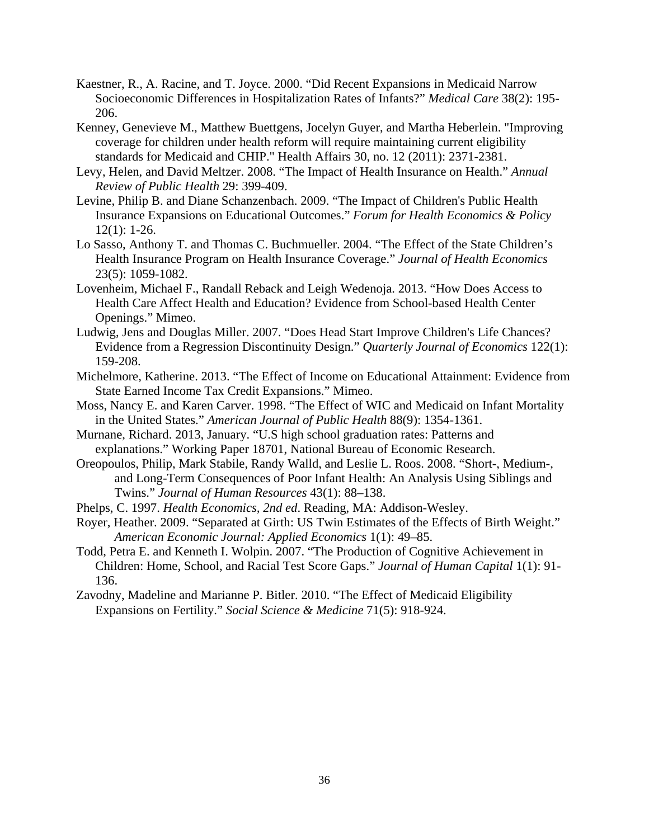- Kaestner, R., A. Racine, and T. Joyce. 2000. "Did Recent Expansions in Medicaid Narrow Socioeconomic Differences in Hospitalization Rates of Infants?" *Medical Care* 38(2): 195- 206.
- Kenney, Genevieve M., Matthew Buettgens, Jocelyn Guyer, and Martha Heberlein. "Improving coverage for children under health reform will require maintaining current eligibility standards for Medicaid and CHIP." Health Affairs 30, no. 12 (2011): 2371-2381.
- Levy, Helen, and David Meltzer. 2008. "The Impact of Health Insurance on Health." *Annual Review of Public Health* 29: 399-409.
- Levine, Philip B. and Diane Schanzenbach. 2009. "The Impact of Children's Public Health Insurance Expansions on Educational Outcomes." *Forum for Health Economics & Policy* 12(1): 1-26.
- Lo Sasso, Anthony T. and Thomas C. Buchmueller. 2004. "The Effect of the State Children's Health Insurance Program on Health Insurance Coverage." *Journal of Health Economics* 23(5): 1059-1082.
- Lovenheim, Michael F., Randall Reback and Leigh Wedenoja. 2013. "How Does Access to Health Care Affect Health and Education? Evidence from School-based Health Center Openings." Mimeo.
- Ludwig, Jens and Douglas Miller. 2007. "Does Head Start Improve Children's Life Chances? Evidence from a Regression Discontinuity Design." *Quarterly Journal of Economics* 122(1): 159-208.
- Michelmore, Katherine. 2013. "The Effect of Income on Educational Attainment: Evidence from State Earned Income Tax Credit Expansions." Mimeo.
- Moss, Nancy E. and Karen Carver. 1998. "The Effect of WIC and Medicaid on Infant Mortality in the United States." *American Journal of Public Health* 88(9): 1354-1361.
- Murnane, Richard. 2013, January. "U.S high school graduation rates: Patterns and explanations." Working Paper 18701, National Bureau of Economic Research.
- Oreopoulos, Philip, Mark Stabile, Randy Walld, and Leslie L. Roos. 2008. "Short-, Medium-, and Long-Term Consequences of Poor Infant Health: An Analysis Using Siblings and Twins." *Journal of Human Resources* 43(1): 88–138.
- Phelps, C. 1997. *Health Economics, 2nd ed*. Reading, MA: Addison-Wesley.
- Royer, Heather. 2009. "Separated at Girth: US Twin Estimates of the Effects of Birth Weight." *American Economic Journal: Applied Economics* 1(1): 49–85.
- Todd, Petra E. and Kenneth I. Wolpin. 2007. "The Production of Cognitive Achievement in Children: Home, School, and Racial Test Score Gaps." *Journal of Human Capital* 1(1): 91- 136.
- Zavodny, Madeline and Marianne P. Bitler. 2010. "The Effect of Medicaid Eligibility Expansions on Fertility." *Social Science & Medicine* 71(5): 918-924.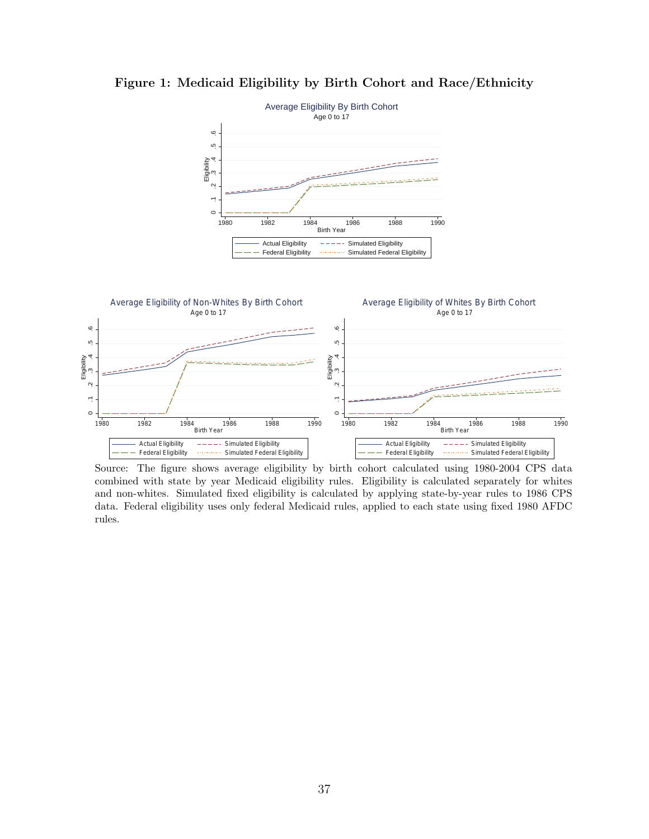

**Figure 1: Medicaid Eligibility by Birth Cohort and Race/Ethnicity**



Source: The figure shows average eligibility by birth cohort calculated using 1980-2004 CPS data combined with state by year Medicaid eligibility rules. Eligibility is calculated separately for whites and non-whites. Simulated fixed eligibility is calculated by applying state-by-year rules to 1986 CPS data. Federal eligibility uses only federal Medicaid rules, applied to each state using fixed 1980 AFDC rules.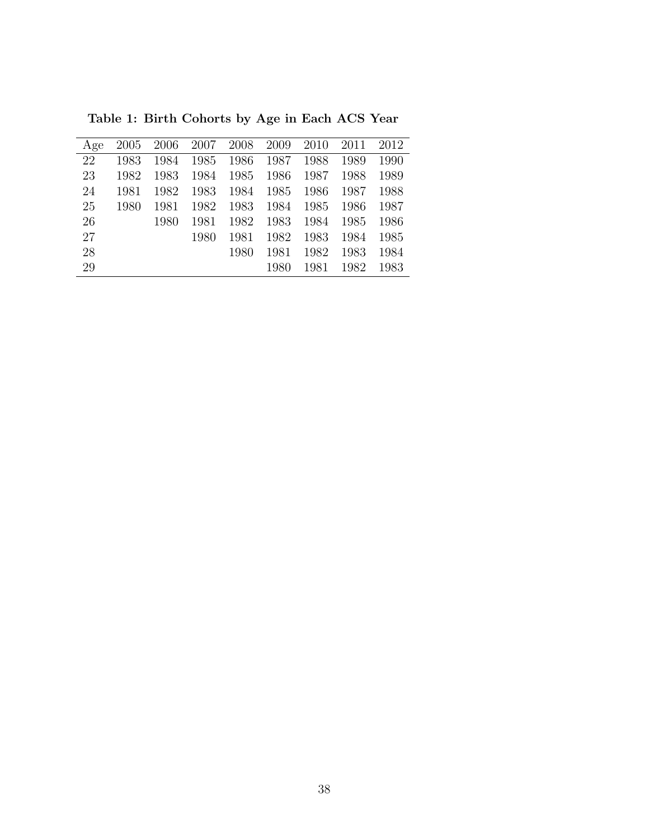| Age | 2005 | 2006 | 2007 | 2008 | 2009 | 2010 | 2011 | 2012 |
|-----|------|------|------|------|------|------|------|------|
| 22  | 1983 | 1984 | 1985 | 1986 | 1987 | 1988 | 1989 | 1990 |
| 23  | 1982 | 1983 | 1984 | 1985 | 1986 | 1987 | 1988 | 1989 |
| 24  | 1981 | 1982 | 1983 | 1984 | 1985 | 1986 | 1987 | 1988 |
| 25  | 1980 | 1981 | 1982 | 1983 | 1984 | 1985 | 1986 | 1987 |
| 26  |      | 1980 | 1981 | 1982 | 1983 | 1984 | 1985 | 1986 |
| 27  |      |      | 1980 | 1981 | 1982 | 1983 | 1984 | 1985 |
| 28  |      |      |      | 1980 | 1981 | 1982 | 1983 | 1984 |
| 29  |      |      |      |      | 1980 | 1981 | 1982 | 1983 |
|     |      |      |      |      |      |      |      |      |

**Table 1: Birth Cohorts by Age in Each ACS Year**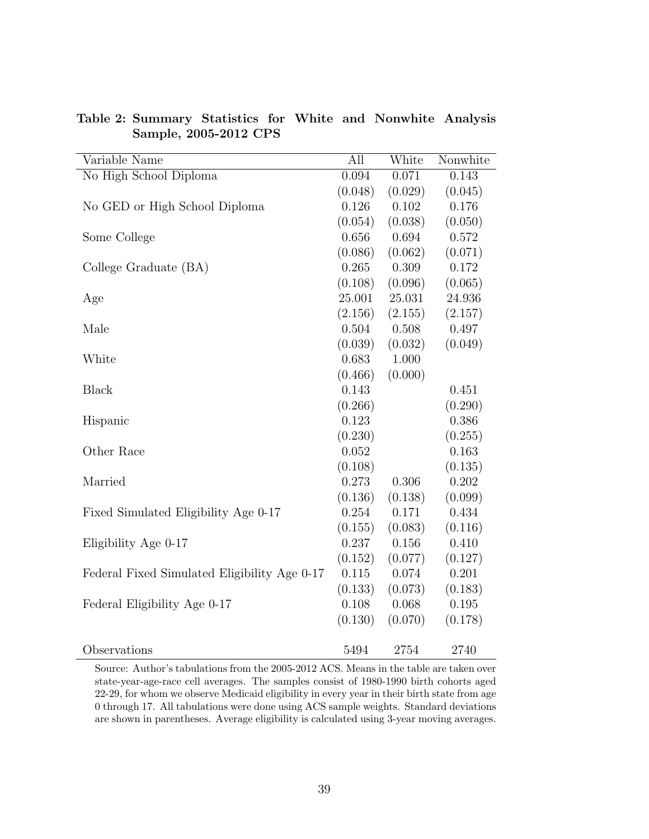| Variable Name                                | All     | White     | Nonwhite |
|----------------------------------------------|---------|-----------|----------|
| No High School Diploma                       | 0.094   | 0.071     | 0.143    |
|                                              | (0.048) | (0.029)   | (0.045)  |
| No GED or High School Diploma                | 0.126   | 0.102     | 0.176    |
|                                              | (0.054) | (0.038)   | (0.050)  |
| Some College                                 | 0.656   | 0.694     | 0.572    |
|                                              | (0.086) | (0.062)   | (0.071)  |
| College Graduate (BA)                        | 0.265   | 0.309     | 0.172    |
|                                              | (0.108) | (0.096)   | (0.065)  |
| Age                                          | 25.001  | 25.031    | 24.936   |
|                                              | (2.156) | (2.155)   | (2.157)  |
| Male                                         | 0.504   | 0.508     | 0.497    |
|                                              | (0.039) | (0.032)   | (0.049)  |
| White                                        | 0.683   | 1.000     |          |
|                                              | (0.466) | (0.000)   |          |
| <b>Black</b>                                 | 0.143   |           | 0.451    |
|                                              | (0.266) |           | (0.290)  |
| Hispanic                                     | 0.123   |           | 0.386    |
|                                              | (0.230) |           | (0.255)  |
| Other Race                                   | 0.052   |           | 0.163    |
|                                              | (0.108) |           | (0.135)  |
| Married                                      | 0.273   | 0.306     | 0.202    |
|                                              | (0.136) | (0.138)   | (0.099)  |
| Fixed Simulated Eligibility Age 0-17         | 0.254   | 0.171     | 0.434    |
|                                              | (0.155) | (0.083)   | (0.116)  |
| Eligibility Age 0-17                         | 0.237   | 0.156     | 0.410    |
|                                              | (0.152) | (0.077)   | (0.127)  |
| Federal Fixed Simulated Eligibility Age 0-17 | 0.115   | $0.074\,$ | 0.201    |
|                                              | (0.133) | (0.073)   | (0.183)  |
| Federal Eligibility Age 0-17                 | 0.108   | 0.068     | 0.195    |
|                                              | (0.130) | (0.070)   | (0.178)  |
| Observations                                 | 5494    | 2754      | 2740     |

**Table 2: Summary Statistics for White and Nonwhite Analysis Sample, 2005-2012 CPS**

Source: Author's tabulations from the 2005-2012 ACS. Means in the table are taken over state-year-age-race cell averages. The samples consist of 1980-1990 birth cohorts aged 22-29, for whom we observe Medicaid eligibility in every year in their birth state from age 0 through 17. All tabulations were done using ACS sample weights. Standard deviations are shown in parentheses. Average eligibility is calculated using 3-year moving averages.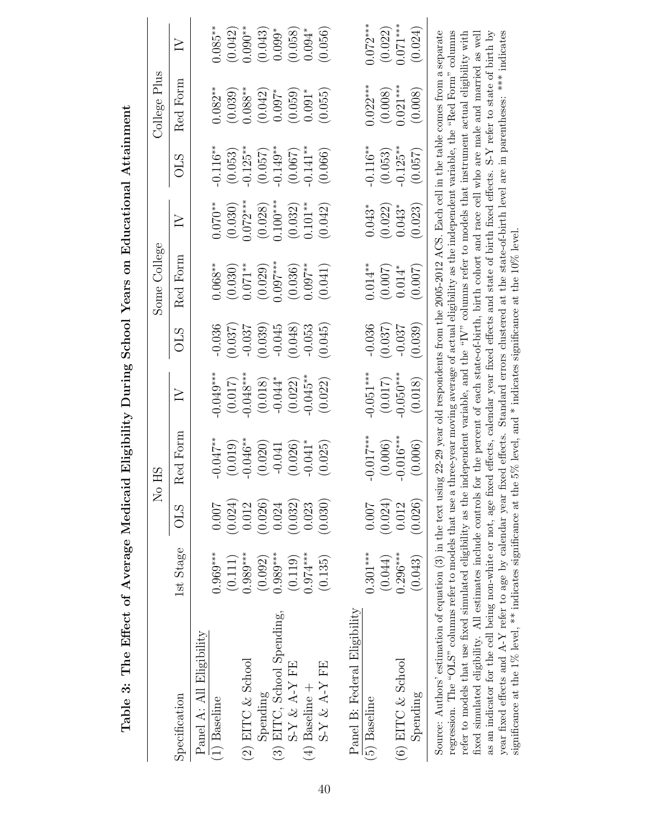|                                                                                                                                                                      |            |            | No HS                                                                                               |             |            | Some College                                                                                       |            |            | College Plus |            |
|----------------------------------------------------------------------------------------------------------------------------------------------------------------------|------------|------------|-----------------------------------------------------------------------------------------------------|-------------|------------|----------------------------------------------------------------------------------------------------|------------|------------|--------------|------------|
| Specification                                                                                                                                                        | 1st Stage  | <b>OLS</b> | Red Form                                                                                            | $\geq$      | <b>CTO</b> | Red Form                                                                                           | $\geq$     | <b>OLS</b> | Red Form     | $\geq$     |
| Panel A: All Eligibility                                                                                                                                             |            |            |                                                                                                     |             |            |                                                                                                    |            |            |              |            |
| $(1)$ Baseline                                                                                                                                                       | $0.969***$ | 0.007      | $-0.047**$                                                                                          | $-0.049***$ | $-0.036$   | $0.068***$                                                                                         | $0.070**$  | $-0.116**$ | $0.082***$   | $0.085**$  |
|                                                                                                                                                                      | (0.111)    | (0.024)    | (0.019)                                                                                             | (0.017)     | (0.037)    | (0.030)                                                                                            | (0.030)    | (0.053)    | (0.039)      | (0.042)    |
| (2) EITC & School                                                                                                                                                    | $0.989***$ | 0.012      | $-0.046**$                                                                                          | $-0.048***$ | $-0.037$   | $0.071***$                                                                                         | $0.072***$ | $-0.125**$ | $0.088***$   | $0.090**$  |
| Spending                                                                                                                                                             | (0.092)    | (0.026)    | (0.020)                                                                                             | (0.018)     | (0.039)    | (0.029)                                                                                            | (0.028)    | (0.057)    | (0.042)      | (0.043)    |
| (3) EITC, School Spending,                                                                                                                                           | $0.989***$ | 0.024      | $-0.041$                                                                                            | $-0.044*$   | $-0.045$   | $0.097***$                                                                                         | $0.100***$ | $-0.149**$ | $0.097*$     | $0.099*$   |
| $SY & A-Y$ FE                                                                                                                                                        | (0.119)    | (0.032)    | (0.026)                                                                                             | (0.022)     | (0.048)    | (0.036)                                                                                            | (0.032)    | (0.067)    | (0.059)      | (0.058)    |
| (4) Baseline +                                                                                                                                                       | $0.974***$ | 0.023      | $-0.041*$                                                                                           | $-0.045**$  | $-0.053$   | $0.097***$                                                                                         | $0.101**$  | $-0.141**$ | $0.091*$     | $0.094*$   |
| $\mathrm{S}\text{-}\mathrm{Y}$ & A-Y FE                                                                                                                              | (0.135)    | (0.030)    | (0.025)                                                                                             | (0.022)     | (0.045)    | (0.041)                                                                                            | (0.042)    | (0.066)    | (0.055)      | (0.056)    |
|                                                                                                                                                                      |            |            |                                                                                                     |             |            |                                                                                                    |            |            |              |            |
| Panel B: Federal Eligibility                                                                                                                                         |            |            |                                                                                                     |             |            |                                                                                                    |            |            |              |            |
| (5) Baseline                                                                                                                                                         | $0.301***$ | 0.007      | $-0.017***$                                                                                         | $-0.051***$ | $-0.036$   | $0.014**$                                                                                          | $0.043*$   | $-0.116**$ | $0.022***$   | $0.072***$ |
|                                                                                                                                                                      | (0.044)    | (0.024)    | (0.006)                                                                                             | (0.017)     | (0.037)    | (0.007)                                                                                            | (0.022)    | (0.053)    | (0.008)      | (0.022)    |
| (6) EITC $&$ School                                                                                                                                                  | $0.296***$ | 0.012      | $-0.016***$                                                                                         | $-0.050***$ | $-0.037$   | $0.014*$                                                                                           | $0.043*$   | $-0.125**$ | $0.021***$   | $0.071***$ |
| Spending                                                                                                                                                             | (0.043)    | (0.026)    | (0.006)                                                                                             | (0.018)     | (0.039)    | (0.007)                                                                                            | (0.023)    | (0.057)    | (0.008)      | (0.024)    |
| Source: Authors' estimation of equation (3) in the text using $22-29$ year old respondents from the 2005-2012 ACS. Each cell in the table comes from a separate      |            |            |                                                                                                     |             |            |                                                                                                    |            |            |              |            |
| regression. The "OLS" columns refer to models that use a three-year moving average of actual eligibility as the independent variable, the "Red Form" columns         |            |            |                                                                                                     |             |            | independent variable, and the "IV" columns refer to models that instrument actual eligibility with |            |            |              |            |
| refer to models that use fixed simulated eligibility as the<br>fixed simulated eligibility. All estimates include controls                                           |            |            | for the percent of each state-of-birth, birth cohort and race cell who are male and married as well |             |            |                                                                                                    |            |            |              |            |
| as an indicator for the cell being non-white or not, age fixed effects, calendar year fixed effects and state of birth fixed effects. S-Y refer to state of birth by |            |            |                                                                                                     |             |            |                                                                                                    |            |            |              |            |
|                                                                                                                                                                      |            |            |                                                                                                     |             |            |                                                                                                    |            |            |              |            |

as an indicator for the cell being non-white or not, age fixed effects, calendar year fixed effects and state of birth fixed effects. S-Y refer to state of birth by year fixed effects and A-Y refer to age by calendar year fixed effects. Standard errors clustered at the state-of-birth level are in parentheses: \*\*\* indicates

year fixed effects and A-Y refer to age by calendar year fixed effects. Standard errors clustered at the state-of-birth level are in parentheses: \*\*\* indicates

significance at the 1% level, \*\* indicates significance at the 5% level, and \* indicates significance at the 10% level.

significance at the 1% level, \*\* indicates significance at the 5% level, and \* indicates significance at the 10% level.

Table 3: The Effect of Average Medicaid Eligibility During School Years on Educational Attainment Table 3: The Effect of Average Medicaid Eligibility During School Years on Educational Attainment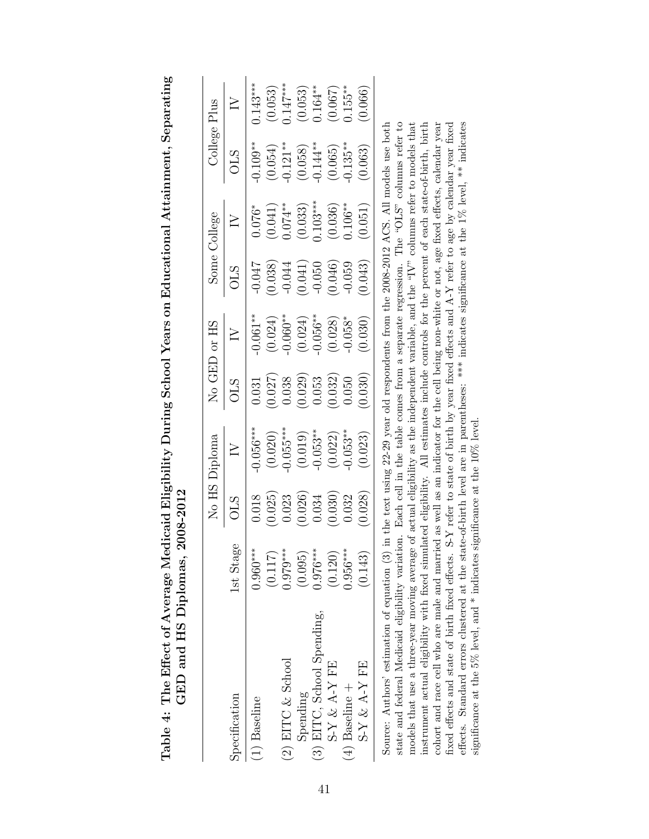|                                                                                                                                              |            |            | No HS Diploma                                                                            |         | No GED or HS |          | Some College |             | College Plus |
|----------------------------------------------------------------------------------------------------------------------------------------------|------------|------------|------------------------------------------------------------------------------------------|---------|--------------|----------|--------------|-------------|--------------|
| Specification                                                                                                                                | 1st Stage  | <b>CTO</b> | $\geq$                                                                                   | STC     |              | STC      |              | STC         | $\geq$       |
| $(1)$ Baseline                                                                                                                               | $0.960***$ | 0.018      | $-0.056***$                                                                              | 0.031   | $0.061**$    | $-0.047$ | $0.076*$     | $-0.109***$ | $0.143***$   |
|                                                                                                                                              | (0.117)    | (0.025)    | (0.020)                                                                                  | (0.027) | (0.024)      | (0.038)  | (0.041)      | (0.054)     | (0.053)      |
| (2) EITC $&$ School                                                                                                                          | $0.979***$ | 0.023      | $-0.055***$                                                                              | 0.038   | $0.060***$   | $-0.044$ | $0.074***$   | $-0.121**$  | $0.147***$   |
| Spending                                                                                                                                     | (0.095)    | (0.026)    | (0.019)                                                                                  | (0.029) | (0.024)      | (0.041)  | (0.033)      | (0.058)     | (0.053)      |
| (3) EITC, School Spending,                                                                                                                   | $0.976***$ | 0.034      | $-0.053***$                                                                              | 0.053   | $-0.056***$  | $-0.050$ | $0.103***$   | $-0.144**$  | $0.164***$   |
| $S-Y \& A-Y$ FE                                                                                                                              | (0.120)    | (0.030)    | (0.022)                                                                                  | (0.032) | (0.028)      | (0.046)  | (0.036)      | (0.065)     | (0.067)      |
| $(4)$ Baseline +                                                                                                                             | $0.956***$ | 0.032      | $-0.053***$                                                                              | 0.050   | $0.058*$     | $-0.059$ | $0.106**$    | $0.135***$  | $0.155***$   |
| $SY & A-Y F E$                                                                                                                               | (0.143)    | (0.028)    | (0.023)                                                                                  | (0.030) | (0.030)      | (0.043)  | (0.051)      | (0.063)     | 0.066        |
| Source: Authors' estimation of equation (3)                                                                                                  |            |            | in the text using 22-29 year old respondents from the 2008-2012 ACS. All models use both |         |              |          |              |             |              |
| state and federal Medicaid eligibility variation. Each cell in the table comes from a separate regression. The "OLS" columns refer to        |            |            |                                                                                          |         |              |          |              |             |              |
| models that use a three-year moving average of actual eligibility as the independent variable, and the "IV" columns refer to models that     |            |            |                                                                                          |         |              |          |              |             |              |
| instrument actual eligibility with fixed simulated eligibility. All estimates include controls for the percent of each state-of-birth, birth |            |            |                                                                                          |         |              |          |              |             |              |
| cohort and race cell who are male and married as well as an indicator for the cell being non-white or not, age fixed effects, calendar year  |            |            |                                                                                          |         |              |          |              |             |              |

fixed effects and state of birth fixed effects. S-Y refer to state of birth by year fixed effects and A-Y refer to age by calendar year fixed effects. Standard errors clustered at the state-of-birth level are in parentheses: \*\*\* indicates significance at the 1% level, \*\* indicates

fixed effects and state of birth fixed effects. S-Y refer to state of birth by year fixed effects and A-Y refer to age by calendar year fixed effects. Standard errors clustered at the state-of-birth level are in parenthes

significance at the 5% level, and \* indicates significance at the 10% level.

significance at the 5% level, and  $*$  indicates significance at the 10% level.

Table 4: The Effect of Average Medicaid Eligibility During School Years on Educational Attainment, Separating Table 4: The Effect of Average Medicaid Eligibility During School Years on Educational Attainment, Separating  $GED$  and HS Diplomas,  $2008-2012$ **GED and HS Diplomas, 2008-2012**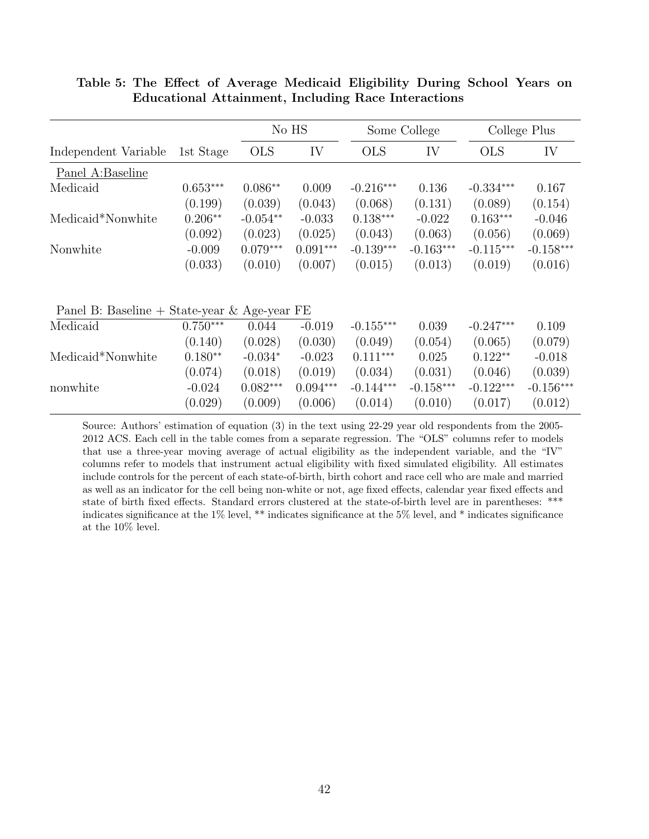|                                              |            |            | No HS      |             | Some College |             | College Plus |
|----------------------------------------------|------------|------------|------------|-------------|--------------|-------------|--------------|
| Independent Variable                         | 1st Stage  | <b>OLS</b> | IV         | <b>OLS</b>  | IV           | <b>OLS</b>  | IV           |
| Panel A:Baseline                             |            |            |            |             |              |             |              |
| Medicaid                                     | $0.653***$ | $0.086**$  | 0.009      | $-0.216***$ | 0.136        | $-0.334***$ | 0.167        |
|                                              | (0.199)    | (0.039)    | (0.043)    | (0.068)     | (0.131)      | (0.089)     | (0.154)      |
| Medicaid*Nonwhite                            | $0.206**$  | $-0.054**$ | $-0.033$   | $0.138***$  | $-0.022$     | $0.163***$  | $-0.046$     |
|                                              | (0.092)    | (0.023)    | (0.025)    | (0.043)     | (0.063)      | (0.056)     | (0.069)      |
| Nonwhite                                     | $-0.009$   | $0.079***$ | $0.091***$ | $-0.139***$ | $-0.163***$  | $-0.115***$ | $-0.158***$  |
|                                              | (0.033)    | (0.010)    | (0.007)    | (0.015)     | (0.013)      | (0.019)     | (0.016)      |
| Panel B: Baseline + State-year & Age-year FE |            |            |            |             |              |             |              |
| Medicaid                                     | $0.750***$ | 0.044      | $-0.019$   | $-0.155***$ | 0.039        | $-0.247***$ | 0.109        |
|                                              | (0.140)    | (0.028)    | (0.030)    | (0.049)     | (0.054)      | (0.065)     | (0.079)      |
| Medicaid*Nonwhite                            | $0.180**$  | $-0.034*$  | $-0.023$   | $0.111***$  | 0.025        | $0.122**$   | $-0.018$     |
|                                              | (0.074)    | (0.018)    | (0.019)    | (0.034)     | (0.031)      | (0.046)     | (0.039)      |
| nonwhite                                     | $-0.024$   | $0.082***$ | $0.094***$ | $-0.144***$ | $-0.158***$  | $-0.122***$ | $-0.156***$  |
|                                              | (0.029)    | (0.009)    | (0.006)    | (0.014)     | (0.010)      | (0.017)     | (0.012)      |

**Table 5: The Effect of Average Medicaid Eligibility During School Years on Educational Attainment, Including Race Interactions**

Source: Authors' estimation of equation (3) in the text using 22-29 year old respondents from the 2005- 2012 ACS. Each cell in the table comes from a separate regression. The "OLS" columns refer to models that use a three-year moving average of actual eligibility as the independent variable, and the "IV" columns refer to models that instrument actual eligibility with fixed simulated eligibility. All estimates include controls for the percent of each state-of-birth, birth cohort and race cell who are male and married as well as an indicator for the cell being non-white or not, age fixed effects, calendar year fixed effects and state of birth fixed effects. Standard errors clustered at the state-of-birth level are in parentheses: \*\*\* indicates significance at the 1% level, \*\* indicates significance at the 5% level, and \* indicates significance at the 10% level.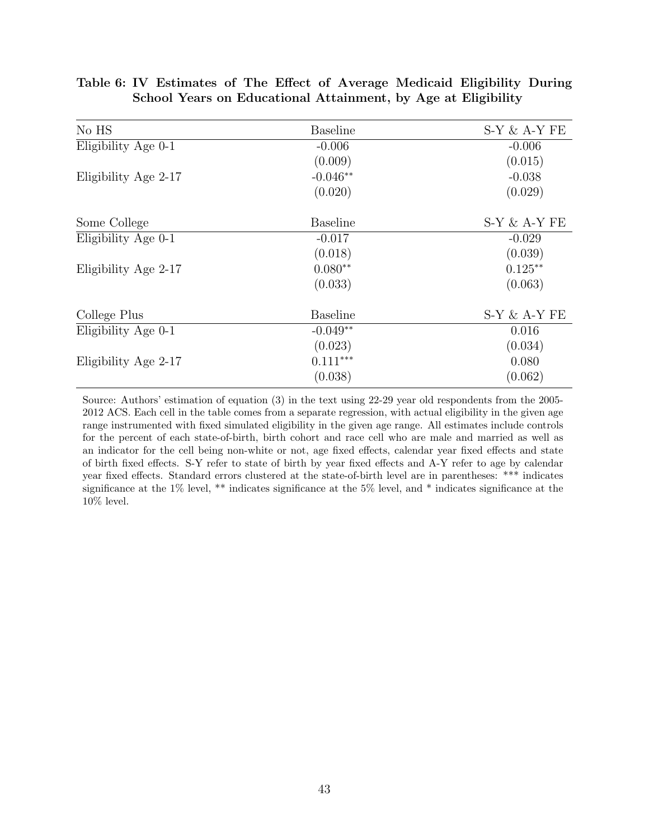| No HS                | <b>Baseline</b> | $S-Y \& A-Y FE$ |
|----------------------|-----------------|-----------------|
| Eligibility Age 0-1  | $-0.006$        | $-0.006$        |
|                      | (0.009)         | (0.015)         |
| Eligibility Age 2-17 | $-0.046**$      | $-0.038$        |
|                      | (0.020)         | (0.029)         |
| Some College         | <b>Baseline</b> | $S-Y \& A-Y FE$ |
| Eligibility Age 0-1  | $-0.017$        | $-0.029$        |
|                      | (0.018)         | (0.039)         |
| Eligibility Age 2-17 | $0.080**$       | $0.125**$       |
|                      | (0.033)         | (0.063)         |
| College Plus         | <b>Baseline</b> | $S-Y \& A-Y FE$ |
| Eligibility Age 0-1  | $-0.049**$      | 0.016           |
|                      | (0.023)         | (0.034)         |
| Eligibility Age 2-17 | $0.111***$      | 0.080           |
|                      | (0.038)         | (0.062)         |

# **Table 6: IV Estimates of The Effect of Average Medicaid Eligibility During School Years on Educational Attainment, by Age at Eligibility**

Source: Authors' estimation of equation (3) in the text using 22-29 year old respondents from the 2005- 2012 ACS. Each cell in the table comes from a separate regression, with actual eligibility in the given age range instrumented with fixed simulated eligibility in the given age range. All estimates include controls for the percent of each state-of-birth, birth cohort and race cell who are male and married as well as an indicator for the cell being non-white or not, age fixed effects, calendar year fixed effects and state of birth fixed effects. S-Y refer to state of birth by year fixed effects and A-Y refer to age by calendar year fixed effects. Standard errors clustered at the state-of-birth level are in parentheses: \*\*\* indicates significance at the 1% level, \*\* indicates significance at the 5% level, and \* indicates significance at the  $10\%$  level.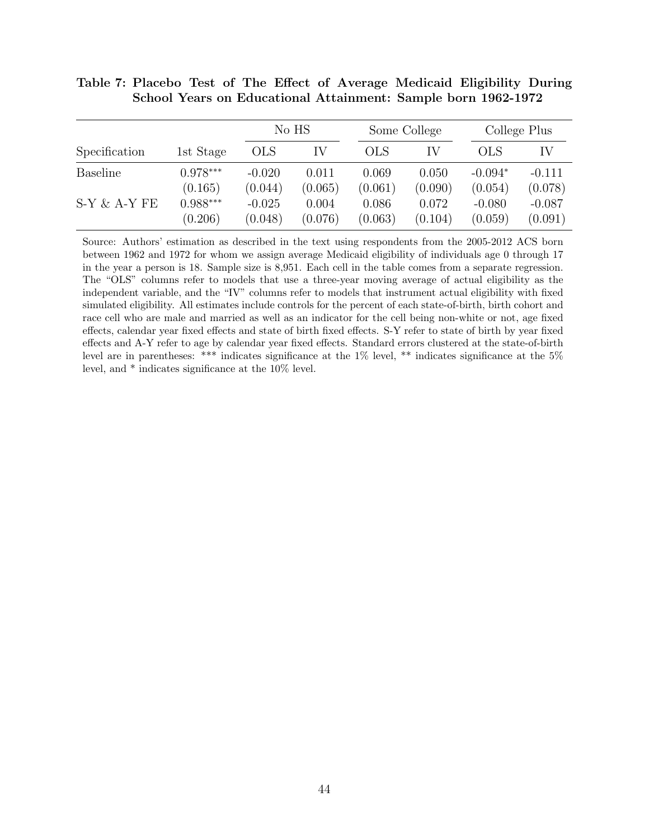| School Years on Educational Attainment: Sample born 1962-1972 |              |              |
|---------------------------------------------------------------|--------------|--------------|
| No HS                                                         | Some College | College Plus |

**Table 7: Placebo Test of The Effect of Average Medicaid Eligibility During**

|                 |            |            | NO HS   |            | Some College |            | College Plus |
|-----------------|------------|------------|---------|------------|--------------|------------|--------------|
| Specification   | 1st Stage  | <b>OLS</b> | IV      | <b>OLS</b> | IV           | <b>OLS</b> |              |
| <b>Baseline</b> | $0.978***$ | $-0.020$   | 0.011   | 0.069      | 0.050        | $-0.094*$  | $-0.111$     |
|                 | (0.165)    | (0.044)    | (0.065) | (0.061)    | (0.090)      | (0.054)    | (0.078)      |
| $S-Y \& A-Y FE$ | $0.988***$ | $-0.025$   | 0.004   | 0.086      | 0.072        | $-0.080$   | $-0.087$     |
|                 | (0.206)    | (0.048)    | (0.076) | (0.063)    | (0.104)      | (0.059)    | (0.091)      |

Source: Authors' estimation as described in the text using respondents from the 2005-2012 ACS born between 1962 and 1972 for whom we assign average Medicaid eligibility of individuals age 0 through 17 in the year a person is 18. Sample size is 8,951. Each cell in the table comes from a separate regression. The "OLS" columns refer to models that use a three-year moving average of actual eligibility as the independent variable, and the "IV" columns refer to models that instrument actual eligibility with fixed simulated eligibility. All estimates include controls for the percent of each state-of-birth, birth cohort and race cell who are male and married as well as an indicator for the cell being non-white or not, age fixed effects, calendar year fixed effects and state of birth fixed effects. S-Y refer to state of birth by year fixed effects and A-Y refer to age by calendar year fixed effects. Standard errors clustered at the state-of-birth level are in parentheses: \*\*\* indicates significance at the 1% level, \*\* indicates significance at the 5% level, and \* indicates significance at the 10% level.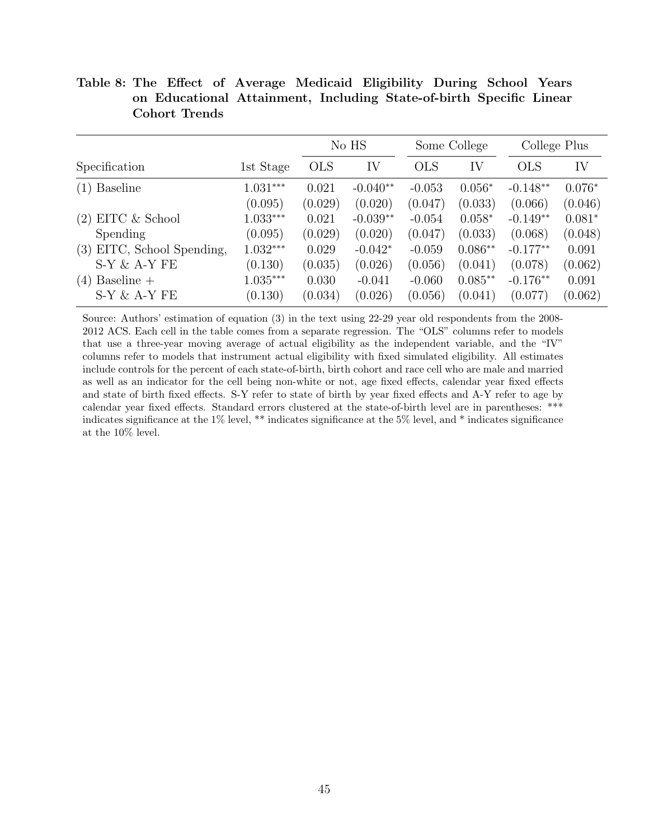|                            |            |            | No HS      |            | Some College | College Plus |          |
|----------------------------|------------|------------|------------|------------|--------------|--------------|----------|
| Specification              | 1st Stage  | <b>OLS</b> | IV         | <b>OLS</b> | IV           | <b>OLS</b>   | IV       |
| <b>Baseline</b><br>(1)     | $1.031***$ | 0.021      | $-0.040**$ | $-0.053$   | $0.056*$     | $-0.148**$   | $0.076*$ |
|                            | (0.095)    | (0.029)    | (0.020)    | (0.047)    | (0.033)      | (0.066)      | (0.046)  |
| $(2)$ EITC & School        | 1.033***   | 0.021      | $-0.039**$ | $-0.054$   | $0.058*$     | $-0.149**$   | $0.081*$ |
| Spending                   | (0.095)    | (0.029)    | (0.020)    | (0.047)    | (0.033)      | (0.068)      | (0.048)  |
| (3) EITC, School Spending, | $1.032***$ | 0.029      | $-0.042*$  | $-0.059$   | $0.086**$    | $-0.177**$   | 0.091    |
| $S-Y \& A-Y FE$            | (0.130)    | (0.035)    | (0.026)    | (0.056)    | (0.041)      | (0.078)      | (0.062)  |
| Baseline $+$<br>(4)        | $1.035***$ | 0.030      | $-0.041$   | $-0.060$   | $0.085**$    | $-0.176**$   | 0.091    |
| $S-Y \& A-Y FE$            | (0.130)    | (0.034)    | (0.026)    | (0.056)    | (0.041)      | (0.077)      | (0.062)  |

**Table 8: The Effect of Average Medicaid Eligibility During School Years on Educational Attainment, Including State-of-birth Specific Linear Cohort Trends**

Source: Authors' estimation of equation (3) in the text using 22-29 year old respondents from the 2008- 2012 ACS. Each cell in the table comes from a separate regression. The "OLS" columns refer to models that use a three-year moving average of actual eligibility as the independent variable, and the "IV" columns refer to models that instrument actual eligibility with fixed simulated eligibility. All estimates include controls for the percent of each state-of-birth, birth cohort and race cell who are male and married as well as an indicator for the cell being non-white or not, age fixed effects, calendar year fixed effects and state of birth fixed effects. S-Y refer to state of birth by year fixed effects and A-Y refer to age by calendar year fixed effects. Standard errors clustered at the state-of-birth level are in parentheses: \*\*\* indicates significance at the 1% level, \*\* indicates significance at the 5% level, and \* indicates significance at the 10% level.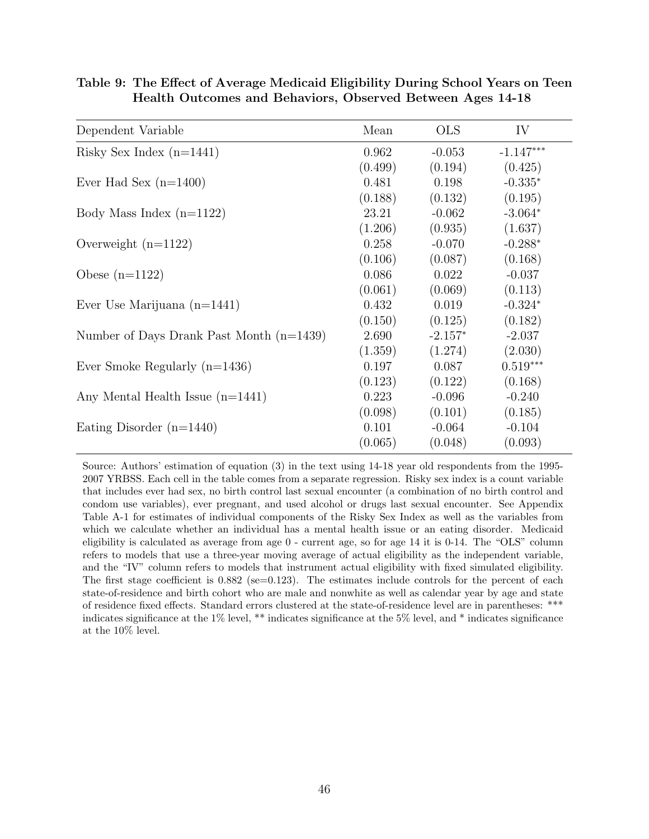| Dependent Variable                         | Mean    | <b>OLS</b> | IV          |
|--------------------------------------------|---------|------------|-------------|
| Risky Sex Index $(n=1441)$                 | 0.962   | $-0.053$   | $-1.147***$ |
|                                            | (0.499) | (0.194)    | (0.425)     |
| Ever Had Sex $(n=1400)$                    | 0.481   | 0.198      | $-0.335*$   |
|                                            | (0.188) | (0.132)    | (0.195)     |
| Body Mass Index $(n=1122)$                 | 23.21   | $-0.062$   | $-3.064*$   |
|                                            | (1.206) | (0.935)    | (1.637)     |
| Overweight $(n=1122)$                      | 0.258   | $-0.070$   | $-0.288*$   |
|                                            | (0.106) | (0.087)    | (0.168)     |
| Obese $(n=1122)$                           | 0.086   | 0.022      | $-0.037$    |
|                                            | (0.061) | (0.069)    | (0.113)     |
| Ever Use Marijuana $(n=1441)$              | 0.432   | 0.019      | $-0.324*$   |
|                                            | (0.150) | (0.125)    | (0.182)     |
| Number of Days Drank Past Month $(n=1439)$ | 2.690   | $-2.157*$  | $-2.037$    |
|                                            | (1.359) | (1.274)    | (2.030)     |
| Ever Smoke Regularly $(n=1436)$            | 0.197   | 0.087      | $0.519***$  |
|                                            | (0.123) | (0.122)    | (0.168)     |
| Any Mental Health Issue $(n=1441)$         | 0.223   | $-0.096$   | $-0.240$    |
|                                            | (0.098) | (0.101)    | (0.185)     |
| Eating Disorder $(n=1440)$                 | 0.101   | $-0.064$   | $-0.104$    |
|                                            | (0.065) | (0.048)    | (0.093)     |

**Table 9: The Effect of Average Medicaid Eligibility During School Years on Teen Health Outcomes and Behaviors, Observed Between Ages 14-18**

Source: Authors' estimation of equation (3) in the text using 14-18 year old respondents from the 1995- 2007 YRBSS. Each cell in the table comes from a separate regression. Risky sex index is a count variable that includes ever had sex, no birth control last sexual encounter (a combination of no birth control and condom use variables), ever pregnant, and used alcohol or drugs last sexual encounter. See Appendix Table A-1 for estimates of individual components of the Risky Sex Index as well as the variables from which we calculate whether an individual has a mental health issue or an eating disorder. Medicaid eligibility is calculated as average from age 0 - current age, so for age 14 it is 0-14. The "OLS" column refers to models that use a three-year moving average of actual eligibility as the independent variable, and the "IV" column refers to models that instrument actual eligibility with fixed simulated eligibility. The first stage coefficient is  $0.882$  (se=0.123). The estimates include controls for the percent of each state-of-residence and birth cohort who are male and nonwhite as well as calendar year by age and state of residence fixed effects. Standard errors clustered at the state-of-residence level are in parentheses: \*\*\* indicates significance at the 1% level, \*\* indicates significance at the 5% level, and \* indicates significance at the 10% level.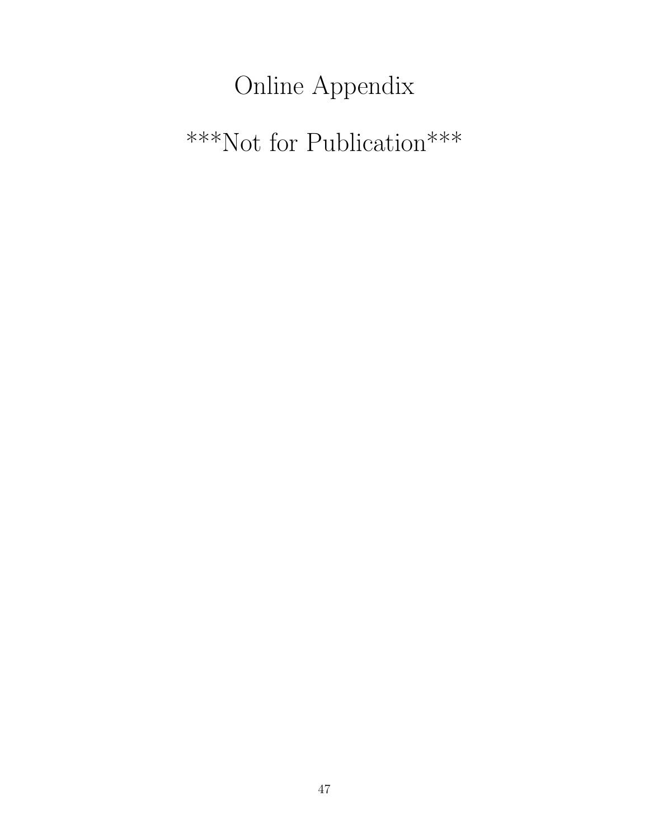# Online Appendix

# \*\*\*Not for Publication\*\*\*